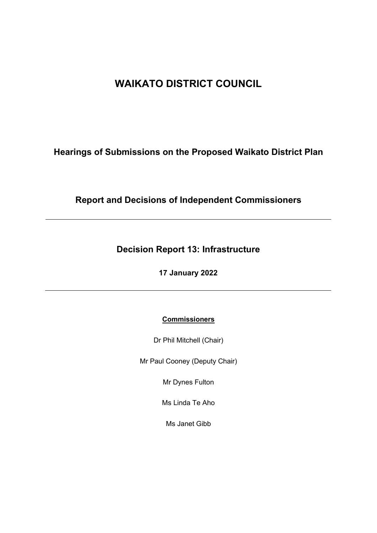# **WAIKATO DISTRICT COUNCIL**

## **Hearings of Submissions on the Proposed Waikato District Plan**

## **Report and Decisions of Independent Commissioners**

## **Decision Report 13: Infrastructure**

**17 January 2022**

## **Commissioners**

Dr Phil Mitchell (Chair)

Mr Paul Cooney (Deputy Chair)

Mr Dynes Fulton

Ms Linda Te Aho

Ms Janet Gibb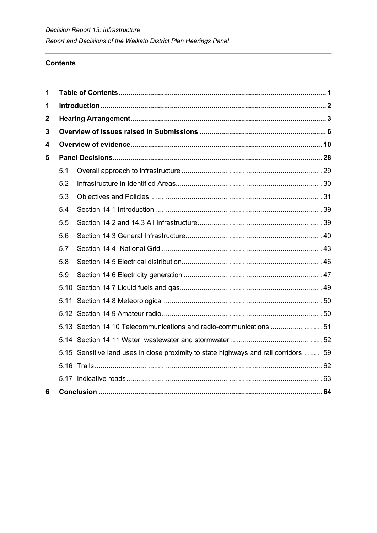## **Contents**

<span id="page-1-1"></span><span id="page-1-0"></span>

| 1            |     |                                                                                     |  |
|--------------|-----|-------------------------------------------------------------------------------------|--|
| 1            |     |                                                                                     |  |
| $\mathbf{2}$ |     |                                                                                     |  |
| 3            |     |                                                                                     |  |
| 4            |     |                                                                                     |  |
| 5            |     |                                                                                     |  |
|              | 5.1 |                                                                                     |  |
|              | 5.2 |                                                                                     |  |
|              | 5.3 |                                                                                     |  |
|              | 5.4 |                                                                                     |  |
|              | 5.5 |                                                                                     |  |
|              | 5.6 |                                                                                     |  |
|              | 5.7 |                                                                                     |  |
|              | 5.8 |                                                                                     |  |
|              | 5.9 |                                                                                     |  |
|              |     |                                                                                     |  |
|              |     |                                                                                     |  |
|              |     |                                                                                     |  |
|              |     | 51.13 Section 14.10 Telecommunications and radio-communications  51                 |  |
|              |     |                                                                                     |  |
|              |     | 5.15 Sensitive land uses in close proximity to state highways and rail corridors 59 |  |
|              |     |                                                                                     |  |
|              |     |                                                                                     |  |
| 6            |     |                                                                                     |  |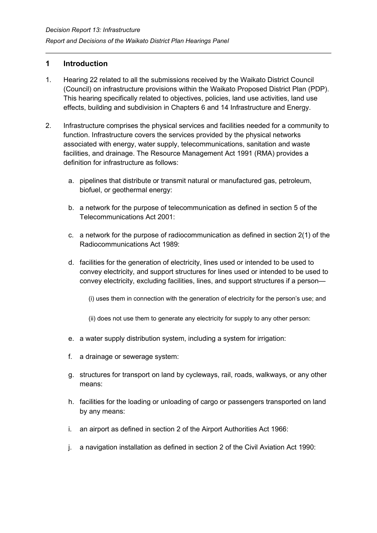## **1 Introduction**

- 1. Hearing 22 related to all the submissions received by the Waikato District Council (Council) on infrastructure provisions within the Waikato Proposed District Plan (PDP). This hearing specifically related to objectives, policies, land use activities, land use effects, building and subdivision in Chapters 6 and 14 Infrastructure and Energy.
- 2. Infrastructure comprises the physical services and facilities needed for a community to function. Infrastructure covers the services provided by the physical networks associated with energy, water supply, telecommunications, sanitation and waste facilities, and drainage. The Resource Management Act 1991 (RMA) provides a definition for infrastructure as follows:
	- a. pipelines that distribute or transmit natural or manufactured gas, petroleum, biofuel, or geothermal energy:
	- b. a network for the purpose of telecommunication as defined in section 5 of the Telecommunications Act 2001:
	- c. a network for the purpose of radiocommunication as defined in section 2(1) of the Radiocommunications Act 1989:
	- d. facilities for the generation of electricity, lines used or intended to be used to convey electricity, and support structures for lines used or intended to be used to convey electricity, excluding facilities, lines, and support structures if a person—
		- (i) uses them in connection with the generation of electricity for the person's use; and
		- (ii) does not use them to generate any electricity for supply to any other person:
	- e. a water supply distribution system, including a system for irrigation:
	- f. a drainage or sewerage system:
	- g. structures for transport on land by cycleways, rail, roads, walkways, or any other means:
	- h. facilities for the loading or unloading of cargo or passengers transported on land by any means:
	- i. an airport as defined in section 2 of the Airport Authorities Act 1966:
	- j. a navigation installation as defined in section 2 of the Civil Aviation Act 1990: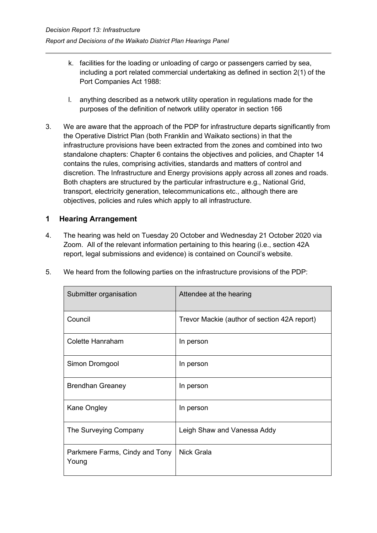- k. facilities for the loading or unloading of cargo or passengers carried by sea, including a port related commercial undertaking as defined in section 2(1) of the Port Companies Act 1988:
- l. anything described as a network utility operation in regulations made for the purposes of the definition of network utility operator in section 166
- 3. We are aware that the approach of the PDP for infrastructure departs significantly from the Operative District Plan (both Franklin and Waikato sections) in that the infrastructure provisions have been extracted from the zones and combined into two standalone chapters: Chapter 6 contains the objectives and policies, and Chapter 14 contains the rules, comprising activities, standards and matters of control and discretion. The Infrastructure and Energy provisions apply across all zones and roads. Both chapters are structured by the particular infrastructure e.g., National Grid, transport, electricity generation, telecommunications etc., although there are objectives, policies and rules which apply to all infrastructure.

## <span id="page-3-0"></span>**1 Hearing Arrangement**

4. The hearing was held on Tuesday 20 October and Wednesday 21 October 2020 via Zoom. All of the relevant information pertaining to this hearing (i.e., section 42A report, legal submissions and evidence) is contained on Council's website.

| Submitter organisation                  | Attendee at the hearing                      |
|-----------------------------------------|----------------------------------------------|
| Council                                 | Trevor Mackie (author of section 42A report) |
| Colette Hanraham                        | In person                                    |
| Simon Dromgool                          | In person                                    |
| <b>Brendhan Greaney</b>                 | In person                                    |
| Kane Ongley                             | In person                                    |
| The Surveying Company                   | Leigh Shaw and Vanessa Addy                  |
| Parkmere Farms, Cindy and Tony<br>Young | <b>Nick Grala</b>                            |

5. We heard from the following parties on the infrastructure provisions of the PDP: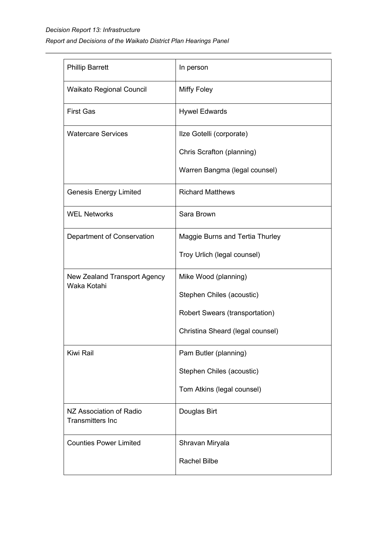## *Decision Report 13: Infrastructure Report and Decisions of the Waikato District Plan Hearings Panel*

| <b>Phillip Barrett</b>                             | In person                        |
|----------------------------------------------------|----------------------------------|
| <b>Waikato Regional Council</b>                    | <b>Miffy Foley</b>               |
| <b>First Gas</b>                                   | <b>Hywel Edwards</b>             |
| <b>Watercare Services</b>                          | Ilze Gotelli (corporate)         |
|                                                    | Chris Scrafton (planning)        |
|                                                    | Warren Bangma (legal counsel)    |
| <b>Genesis Energy Limited</b>                      | <b>Richard Matthews</b>          |
| <b>WEL Networks</b>                                | Sara Brown                       |
| Department of Conservation                         | Maggie Burns and Tertia Thurley  |
|                                                    | Troy Urlich (legal counsel)      |
| New Zealand Transport Agency<br>Waka Kotahi        | Mike Wood (planning)             |
|                                                    | Stephen Chiles (acoustic)        |
|                                                    | Robert Swears (transportation)   |
|                                                    | Christina Sheard (legal counsel) |
| Kiwi Rail                                          | Pam Butler (planning)            |
|                                                    | Stephen Chiles (acoustic)        |
|                                                    | Tom Atkins (legal counsel)       |
| NZ Association of Radio<br><b>Transmitters Inc</b> | Douglas Birt                     |
| <b>Counties Power Limited</b>                      | Shravan Miryala                  |
|                                                    | <b>Rachel Bilbe</b>              |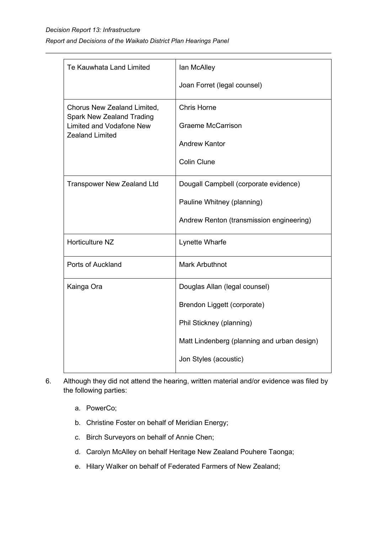| Te Kauwhata Land Limited                                        | lan McAlley                                 |
|-----------------------------------------------------------------|---------------------------------------------|
|                                                                 | Joan Forret (legal counsel)                 |
| Chorus New Zealand Limited,<br><b>Spark New Zealand Trading</b> | <b>Chris Horne</b>                          |
| <b>Limited and Vodafone New</b><br><b>Zealand Limited</b>       | <b>Graeme McCarrison</b>                    |
|                                                                 | <b>Andrew Kantor</b>                        |
|                                                                 | <b>Colin Clune</b>                          |
| <b>Transpower New Zealand Ltd</b>                               | Dougall Campbell (corporate evidence)       |
|                                                                 | Pauline Whitney (planning)                  |
|                                                                 | Andrew Renton (transmission engineering)    |
| Horticulture NZ                                                 | Lynette Wharfe                              |
| Ports of Auckland                                               | <b>Mark Arbuthnot</b>                       |
| Kainga Ora                                                      | Douglas Allan (legal counsel)               |
|                                                                 | Brendon Liggett (corporate)                 |
|                                                                 | Phil Stickney (planning)                    |
|                                                                 | Matt Lindenberg (planning and urban design) |
|                                                                 | Jon Styles (acoustic)                       |

- 6. Although they did not attend the hearing, written material and/or evidence was filed by the following parties:
	- a. PowerCo;
	- b. Christine Foster on behalf of Meridian Energy;
	- c. Birch Surveyors on behalf of Annie Chen;
	- d. Carolyn McAlley on behalf Heritage New Zealand Pouhere Taonga;
	- e. Hilary Walker on behalf of Federated Farmers of New Zealand;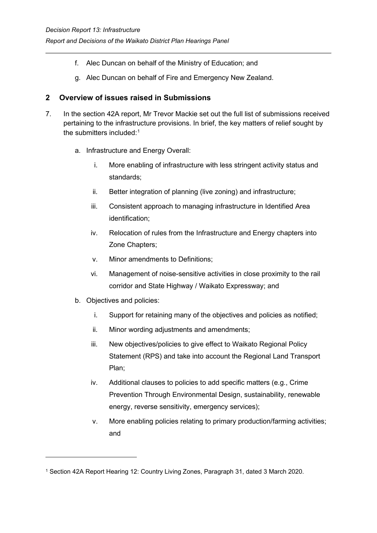- f. Alec Duncan on behalf of the Ministry of Education; and
- g. Alec Duncan on behalf of Fire and Emergency New Zealand.

## <span id="page-6-0"></span>**2 Overview of issues raised in Submissions**

- 7. In the section 42A report, Mr Trevor Mackie set out the full list of submissions received pertaining to the infrastructure provisions. In brief, the key matters of relief sought by the submitters included: $^1$  $^1$ 
	- a. Infrastructure and Energy Overall:
		- i. More enabling of infrastructure with less stringent activity status and standards;
		- ii. Better integration of planning (live zoning) and infrastructure;
		- iii. Consistent approach to managing infrastructure in Identified Area identification;
		- iv. Relocation of rules from the Infrastructure and Energy chapters into Zone Chapters;
		- v. Minor amendments to Definitions;
		- vi. Management of noise-sensitive activities in close proximity to the rail corridor and State Highway / Waikato Expressway; and
	- b. Objectives and policies:
		- i. Support for retaining many of the objectives and policies as notified;
		- ii. Minor wording adjustments and amendments;
		- iii. New objectives/policies to give effect to Waikato Regional Policy Statement (RPS) and take into account the Regional Land Transport Plan;
		- iv. Additional clauses to policies to add specific matters (e.g., Crime Prevention Through Environmental Design, sustainability, renewable energy, reverse sensitivity, emergency services);
		- v. More enabling policies relating to primary production/farming activities; and

<span id="page-6-1"></span><sup>1</sup> Section 42A Report Hearing 12: Country Living Zones, Paragraph 31, dated 3 March 2020.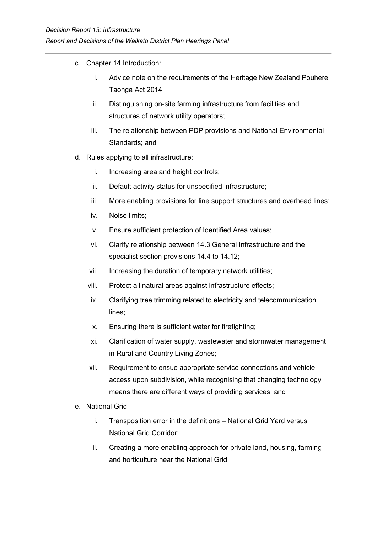- c. Chapter 14 Introduction:
	- i. Advice note on the requirements of the Heritage New Zealand Pouhere Taonga Act 2014;
	- ii. Distinguishing on-site farming infrastructure from facilities and structures of network utility operators;
	- iii. The relationship between PDP provisions and National Environmental Standards; and
- d. Rules applying to all infrastructure:
	- i. Increasing area and height controls;
	- ii. Default activity status for unspecified infrastructure;
	- iii. More enabling provisions for line support structures and overhead lines;
	- iv. Noise limits;
	- v. Ensure sufficient protection of Identified Area values;
	- vi. Clarify relationship between 14.3 General Infrastructure and the specialist section provisions 14.4 to 14.12;
	- vii. Increasing the duration of temporary network utilities;
	- viii. Protect all natural areas against infrastructure effects;
	- ix. Clarifying tree trimming related to electricity and telecommunication lines;
	- x. Ensuring there is sufficient water for firefighting;
	- xi. Clarification of water supply, wastewater and stormwater management in Rural and Country Living Zones;
	- xii. Requirement to ensue appropriate service connections and vehicle access upon subdivision, while recognising that changing technology means there are different ways of providing services; and
- e. National Grid:
	- i. Transposition error in the definitions National Grid Yard versus National Grid Corridor;
	- ii. Creating a more enabling approach for private land, housing, farming and horticulture near the National Grid;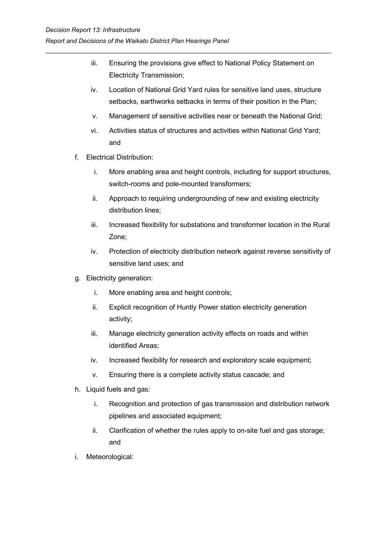- iii. Ensuring the provisions give effect to National Policy Statement on Electricity Transmission;
- iv. Location of National Grid Yard rules for sensitive land uses, structure setbacks, earthworks setbacks in terms of their position in the Plan;
- v. Management of sensitive activities near or beneath the National Grid;
- vi. Activities status of structures and activities within National Grid Yard; and
- f. Electrical Distribution:
	- i. More enabling area and height controls, including for support structures, switch-rooms and pole-mounted transformers;
	- ii. Approach to requiring undergrounding of new and existing electricity distribution lines;
	- iii. Increased flexibility for substations and transformer location in the Rural Zone;
	- iv. Protection of electricity distribution network against reverse sensitivity of sensitive land uses; and
- g. Electricity generation:
	- i. More enabling area and height controls;
	- ii. Explicit recognition of Huntly Power station electricity generation activity;
	- iii. Manage electricity generation activity effects on roads and within identified Areas;
	- iv. Increased flexibility for research and exploratory scale equipment;
	- v. Ensuring there is a complete activity status cascade; and
- h. Liquid fuels and gas:
	- i. Recognition and protection of gas transmission and distribution network pipelines and associated equipment;
	- ii. Clarification of whether the rules apply to on-site fuel and gas storage; and
- i. Meteorological: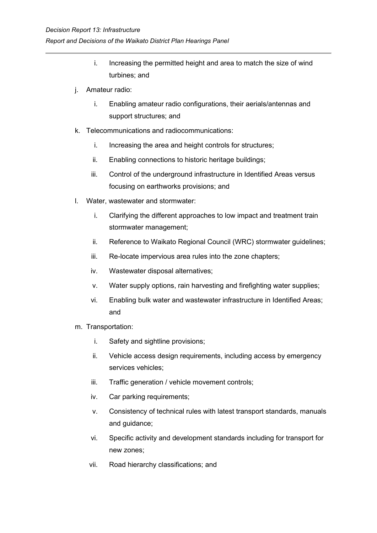- i. Increasing the permitted height and area to match the size of wind turbines; and
- j. Amateur radio:
	- i. Enabling amateur radio configurations, their aerials/antennas and support structures; and
- k. Telecommunications and radiocommunications:
	- i. Increasing the area and height controls for structures;
	- ii. Enabling connections to historic heritage buildings;
	- iii. Control of the underground infrastructure in Identified Areas versus focusing on earthworks provisions; and
- l. Water, wastewater and stormwater:
	- i. Clarifying the different approaches to low impact and treatment train stormwater management;
	- ii. Reference to Waikato Regional Council (WRC) stormwater guidelines;
	- iii. Re-locate impervious area rules into the zone chapters;
	- iv. Wastewater disposal alternatives;
	- v. Water supply options, rain harvesting and firefighting water supplies;
	- vi. Enabling bulk water and wastewater infrastructure in Identified Areas; and
- m. Transportation:
	- i. Safety and sightline provisions;
	- ii. Vehicle access design requirements, including access by emergency services vehicles;
	- iii. Traffic generation / vehicle movement controls;
	- iv. Car parking requirements;
	- v. Consistency of technical rules with latest transport standards, manuals and guidance;
	- vi. Specific activity and development standards including for transport for new zones;
	- vii. Road hierarchy classifications; and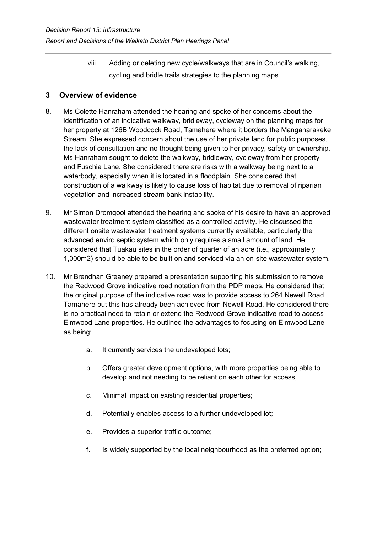viii. Adding or deleting new cycle/walkways that are in Council's walking, cycling and bridle trails strategies to the planning maps.

## <span id="page-10-0"></span>**3 Overview of evidence**

- 8. Ms Colette Hanraham attended the hearing and spoke of her concerns about the identification of an indicative walkway, bridleway, cycleway on the planning maps for her property at 126B Woodcock Road, Tamahere where it borders the Mangaharakeke Stream. She expressed concern about the use of her private land for public purposes, the lack of consultation and no thought being given to her privacy, safety or ownership. Ms Hanraham sought to delete the walkway, bridleway, cycleway from her property and Fuschia Lane. She considered there are risks with a walkway being next to a waterbody, especially when it is located in a floodplain. She considered that construction of a walkway is likely to cause loss of habitat due to removal of riparian vegetation and increased stream bank instability.
- 9. Mr Simon Dromgool attended the hearing and spoke of his desire to have an approved wastewater treatment system classified as a controlled activity. He discussed the different onsite wastewater treatment systems currently available, particularly the advanced enviro septic system which only requires a small amount of land. He considered that Tuakau sites in the order of quarter of an acre (i.e., approximately 1,000m2) should be able to be built on and serviced via an on-site wastewater system.
- 10. Mr Brendhan Greaney prepared a presentation supporting his submission to remove the Redwood Grove indicative road notation from the PDP maps. He considered that the original purpose of the indicative road was to provide access to 264 Newell Road, Tamahere but this has already been achieved from Newell Road. He considered there is no practical need to retain or extend the Redwood Grove indicative road to access Elmwood Lane properties. He outlined the advantages to focusing on Elmwood Lane as being:
	- a. It currently services the undeveloped lots;
	- b. Offers greater development options, with more properties being able to develop and not needing to be reliant on each other for access;
	- c. Minimal impact on existing residential properties;
	- d. Potentially enables access to a further undeveloped lot;
	- e. Provides a superior traffic outcome;
	- f. Is widely supported by the local neighbourhood as the preferred option;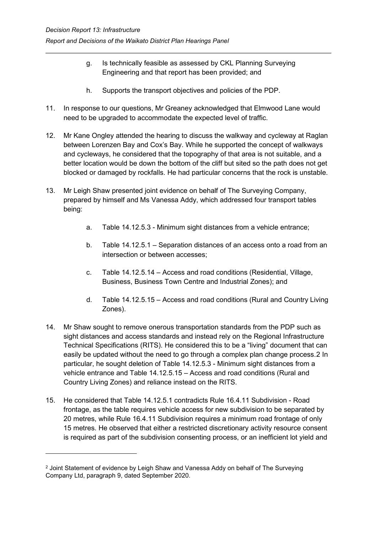- g. Is technically feasible as assessed by CKL Planning Surveying Engineering and that report has been provided; and
- h. Supports the transport objectives and policies of the PDP.
- 11. In response to our questions, Mr Greaney acknowledged that Elmwood Lane would need to be upgraded to accommodate the expected level of traffic.
- 12. Mr Kane Ongley attended the hearing to discuss the walkway and cycleway at Raglan between Lorenzen Bay and Cox's Bay. While he supported the concept of walkways and cycleways, he considered that the topography of that area is not suitable, and a better location would be down the bottom of the cliff but sited so the path does not get blocked or damaged by rockfalls. He had particular concerns that the rock is unstable.
- 13. Mr Leigh Shaw presented joint evidence on behalf of The Surveying Company, prepared by himself and Ms Vanessa Addy, which addressed four transport tables being:
	- a. Table 14.12.5.3 Minimum sight distances from a vehicle entrance;
	- b. Table 14.12.5.1 Separation distances of an access onto a road from an intersection or between accesses;
	- c. Table 14.12.5.14 Access and road conditions (Residential, Village, Business, Business Town Centre and Industrial Zones); and
	- d. Table 14.12.5.15 Access and road conditions (Rural and Country Living Zones).
- 14. Mr Shaw sought to remove onerous transportation standards from the PDP such as sight distances and access standards and instead rely on the Regional Infrastructure Technical Specifications (RITS). He considered this to be a "living" document that can easily be updated without the need to go through a complex plan change process.[2](#page-11-0) In particular, he sought deletion of Table 14.12.5.3 - Minimum sight distances from a vehicle entrance and Table 14.12.5.15 – Access and road conditions (Rural and Country Living Zones) and reliance instead on the RITS.
- 15. He considered that Table 14.12.5.1 contradicts Rule 16.4.11 Subdivision Road frontage, as the table requires vehicle access for new subdivision to be separated by 20 metres, while Rule 16.4.11 Subdivision requires a minimum road frontage of only 15 metres. He observed that either a restricted discretionary activity resource consent is required as part of the subdivision consenting process, or an inefficient lot yield and

<span id="page-11-0"></span><sup>2</sup> Joint Statement of evidence by Leigh Shaw and Vanessa Addy on behalf of The Surveying Company Ltd, paragraph 9, dated September 2020.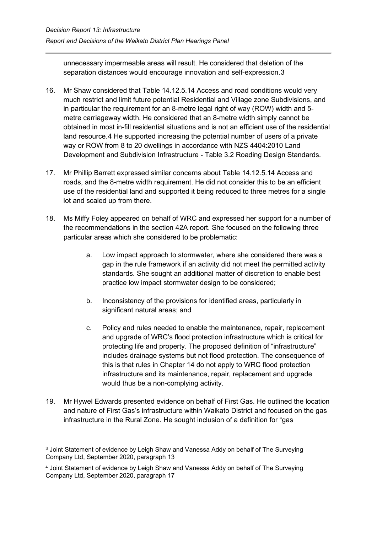unnecessary impermeable areas will result. He considered that deletion of the separation distances would encourage innovation and self-expression.[3](#page-12-0)

- 16. Mr Shaw considered that Table 14.12.5.14 Access and road conditions would very much restrict and limit future potential Residential and Village zone Subdivisions, and in particular the requirement for an 8-metre legal right of way (ROW) width and 5 metre carriageway width. He considered that an 8-metre width simply cannot be obtained in most in-fill residential situations and is not an efficient use of the residential land resource.[4](#page-12-1) He supported increasing the potential number of users of a private way or ROW from 8 to 20 dwellings in accordance with NZS 4404:2010 Land Development and Subdivision Infrastructure - Table 3.2 Roading Design Standards.
- 17. Mr Phillip Barrett expressed similar concerns about Table 14.12.5.14 Access and roads, and the 8-metre width requirement. He did not consider this to be an efficient use of the residential land and supported it being reduced to three metres for a single lot and scaled up from there.
- 18. Ms Miffy Foley appeared on behalf of WRC and expressed her support for a number of the recommendations in the section 42A report. She focused on the following three particular areas which she considered to be problematic:
	- a. Low impact approach to stormwater, where she considered there was a gap in the rule framework if an activity did not meet the permitted activity standards. She sought an additional matter of discretion to enable best practice low impact stormwater design to be considered;
	- b. Inconsistency of the provisions for identified areas, particularly in significant natural areas; and
	- c. Policy and rules needed to enable the maintenance, repair, replacement and upgrade of WRC's flood protection infrastructure which is critical for protecting life and property. The proposed definition of "infrastructure" includes drainage systems but not flood protection. The consequence of this is that rules in Chapter 14 do not apply to WRC flood protection infrastructure and its maintenance, repair, replacement and upgrade would thus be a non-complying activity.
- 19. Mr Hywel Edwards presented evidence on behalf of First Gas. He outlined the location and nature of First Gas's infrastructure within Waikato District and focused on the gas infrastructure in the Rural Zone. He sought inclusion of a definition for "gas

<span id="page-12-0"></span><sup>3</sup> Joint Statement of evidence by Leigh Shaw and Vanessa Addy on behalf of The Surveying Company Ltd, September 2020, paragraph 13

<span id="page-12-1"></span><sup>4</sup> Joint Statement of evidence by Leigh Shaw and Vanessa Addy on behalf of The Surveying Company Ltd, September 2020, paragraph 17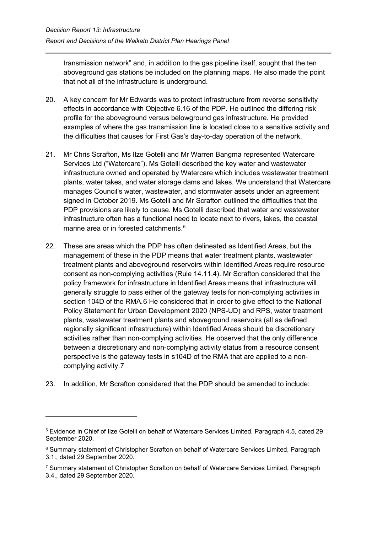transmission network" and, in addition to the gas pipeline itself, sought that the ten aboveground gas stations be included on the planning maps. He also made the point that not all of the infrastructure is underground.

- 20. A key concern for Mr Edwards was to protect infrastructure from reverse sensitivity effects in accordance with Objective 6.16 of the PDP. He outlined the differing risk profile for the aboveground versus belowground gas infrastructure. He provided examples of where the gas transmission line is located close to a sensitive activity and the difficulties that causes for First Gas's day-to-day operation of the network.
- 21. Mr Chris Scrafton, Ms Ilze Gotelli and Mr Warren Bangma represented Watercare Services Ltd ("Watercare"). Ms Gotelli described the key water and wastewater infrastructure owned and operated by Watercare which includes wastewater treatment plants, water takes, and water storage dams and lakes. We understand that Watercare manages Council's water, wastewater, and stormwater assets under an agreement signed in October 2019. Ms Gotelli and Mr Scrafton outlined the difficulties that the PDP provisions are likely to cause. Ms Gotelli described that water and wastewater infrastructure often has a functional need to locate next to rivers, lakes, the coastal marine area or in forested catchments.<sup>[5](#page-13-0)</sup>
- 22. These are areas which the PDP has often delineated as Identified Areas, but the management of these in the PDP means that water treatment plants, wastewater treatment plants and aboveground reservoirs within Identified Areas require resource consent as non-complying activities (Rule 14.11.4). Mr Scrafton considered that the policy framework for infrastructure in Identified Areas means that infrastructure will generally struggle to pass either of the gateway tests for non-complying activities in section 104D of the RMA.[6](#page-13-1) He considered that in order to give effect to the National Policy Statement for Urban Development 2020 (NPS-UD) and RPS, water treatment plants, wastewater treatment plants and aboveground reservoirs (all as defined regionally significant infrastructure) within Identified Areas should be discretionary activities rather than non-complying activities. He observed that the only difference between a discretionary and non-complying activity status from a resource consent perspective is the gateway tests in s104D of the RMA that are applied to a noncomplying activity.[7](#page-13-2)
- 23. In addition, Mr Scrafton considered that the PDP should be amended to include:

<span id="page-13-0"></span><sup>5</sup> Evidence in Chief of Ilze Gotelli on behalf of Watercare Services Limited, Paragraph 4.5, dated 29 September 2020.

<span id="page-13-1"></span><sup>6</sup> Summary statement of Christopher Scrafton on behalf of Watercare Services Limited, Paragraph 3.1., dated 29 September 2020.

<span id="page-13-2"></span><sup>7</sup> Summary statement of Christopher Scrafton on behalf of Watercare Services Limited, Paragraph 3.4., dated 29 September 2020.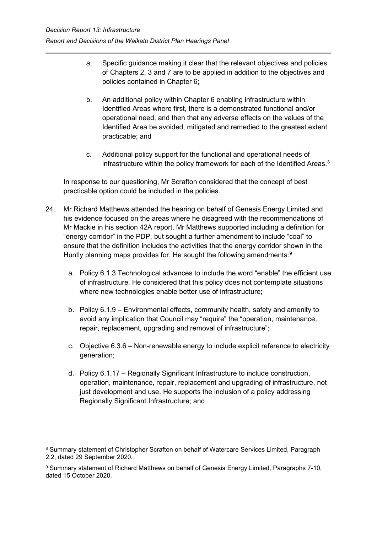- a. Specific guidance making it clear that the relevant objectives and policies of Chapters 2, 3 and 7 are to be applied in addition to the objectives and policies contained in Chapter 6;
- b. An additional policy within Chapter 6 enabling infrastructure within Identified Areas where first, there is a demonstrated functional and/or operational need, and then that any adverse effects on the values of the Identified Area be avoided, mitigated and remedied to the greatest extent practicable; and
- c. Additional policy support for the functional and operational needs of infrastructure within the policy framework for each of the Identified Areas.<sup>[8](#page-14-0)</sup>

In response to our questioning, Mr Scrafton considered that the concept of best practicable option could be included in the policies.

- 24. Mr Richard Matthews attended the hearing on behalf of Genesis Energy Limited and his evidence focused on the areas where he disagreed with the recommendations of Mr Mackie in his section 42A report. Mr Matthews supported including a definition for "energy corridor" in the PDP, but sought a further amendment to include "coal" to ensure that the definition includes the activities that the energy corridor shown in the Huntly planning maps provides for. He sought the following amendments: $^{\textrm{\textregistered}}$ 
	- a. Policy 6.1.3 Technological advances to include the word "enable" the efficient use of infrastructure. He considered that this policy does not contemplate situations where new technologies enable better use of infrastructure;
	- b. Policy 6.1.9 Environmental effects, community health, safety and amenity to avoid any implication that Council may "require" the "operation, maintenance, repair, replacement, upgrading and removal of infrastructure";
	- c. Objective 6.3.6 Non-renewable energy to include explicit reference to electricity generation;
	- d. Policy 6.1.17 Regionally Significant Infrastructure to include construction, operation, maintenance, repair, replacement and upgrading of infrastructure, not just development and use. He supports the inclusion of a policy addressing Regionally Significant Infrastructure; and

<span id="page-14-0"></span><sup>8</sup> Summary statement of Christopher Scrafton on behalf of Watercare Services Limited, Paragraph 2.2, dated 29 September 2020.

<span id="page-14-1"></span><sup>9</sup> Summary statement of Richard Matthews on behalf of Genesis Energy Limited, Paragraphs 7-10, dated 15 October 2020.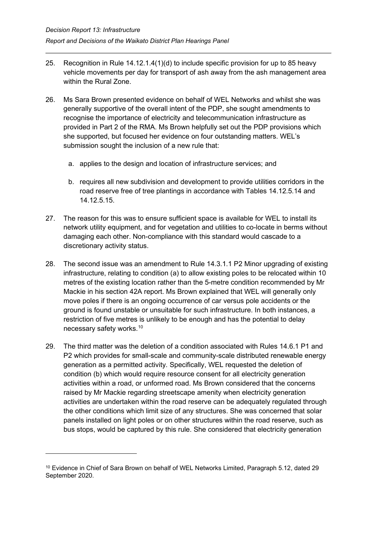- 25. Recognition in Rule 14.12.1.4(1)(d) to include specific provision for up to 85 heavy vehicle movements per day for transport of ash away from the ash management area within the Rural Zone.
- 26. Ms Sara Brown presented evidence on behalf of WEL Networks and whilst she was generally supportive of the overall intent of the PDP, she sought amendments to recognise the importance of electricity and telecommunication infrastructure as provided in Part 2 of the RMA. Ms Brown helpfully set out the PDP provisions which she supported, but focused her evidence on four outstanding matters. WEL's submission sought the inclusion of a new rule that:
	- a. applies to the design and location of infrastructure services; and
	- b. requires all new subdivision and development to provide utilities corridors in the road reserve free of tree plantings in accordance with Tables 14.12.5.14 and 14.12.5.15.
- 27. The reason for this was to ensure sufficient space is available for WEL to install its network utility equipment, and for vegetation and utilities to co-locate in berms without damaging each other. Non-compliance with this standard would cascade to a discretionary activity status.
- 28. The second issue was an amendment to Rule 14.3.1.1 P2 Minor upgrading of existing infrastructure, relating to condition (a) to allow existing poles to be relocated within 10 metres of the existing location rather than the 5-metre condition recommended by Mr Mackie in his section 42A report. Ms Brown explained that WEL will generally only move poles if there is an ongoing occurrence of car versus pole accidents or the ground is found unstable or unsuitable for such infrastructure. In both instances, a restriction of five metres is unlikely to be enough and has the potential to delay necessary safety works. $^{\rm 10}$  $^{\rm 10}$  $^{\rm 10}$
- 29. The third matter was the deletion of a condition associated with Rules 14.6.1 P1 and P2 which provides for small-scale and community-scale distributed renewable energy generation as a permitted activity. Specifically, WEL requested the deletion of condition (b) which would require resource consent for all electricity generation activities within a road, or unformed road. Ms Brown considered that the concerns raised by Mr Mackie regarding streetscape amenity when electricity generation activities are undertaken within the road reserve can be adequately regulated through the other conditions which limit size of any structures. She was concerned that solar panels installed on light poles or on other structures within the road reserve, such as bus stops, would be captured by this rule. She considered that electricity generation

<span id="page-15-0"></span><sup>10</sup> Evidence in Chief of Sara Brown on behalf of WEL Networks Limited, Paragraph 5.12, dated 29 September 2020.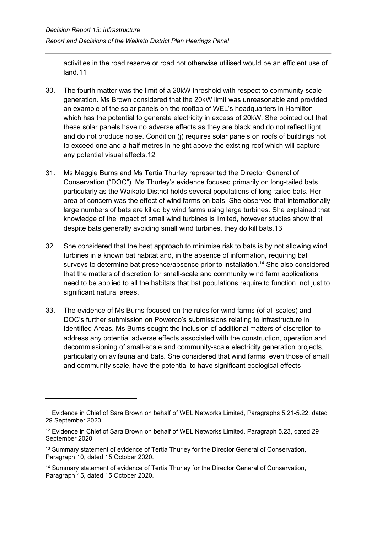activities in the road reserve or road not otherwise utilised would be an efficient use of land.[11](#page-16-0)

- 30. The fourth matter was the limit of a 20kW threshold with respect to community scale generation. Ms Brown considered that the 20kW limit was unreasonable and provided an example of the solar panels on the rooftop of WEL's headquarters in Hamilton which has the potential to generate electricity in excess of 20kW. She pointed out that these solar panels have no adverse effects as they are black and do not reflect light and do not produce noise. Condition (i) requires solar panels on roofs of buildings not to exceed one and a half metres in height above the existing roof which will capture any potential visual effects.[12](#page-16-1)
- 31. Ms Maggie Burns and Ms Tertia Thurley represented the Director General of Conservation ("DOC"). Ms Thurley's evidence focused primarily on long-tailed bats, particularly as the Waikato District holds several populations of long-tailed bats. Her area of concern was the effect of wind farms on bats. She observed that internationally large numbers of bats are killed by wind farms using large turbines. She explained that knowledge of the impact of small wind turbines is limited, however studies show that despite bats generally avoiding small wind turbines, they do kill bats[.13](#page-16-2)
- 32. She considered that the best approach to minimise risk to bats is by not allowing wind turbines in a known bat habitat and, in the absence of information, requiring bat surveys to determine bat presence/absence prior to installation.<sup>[14](#page-16-3)</sup> She also considered that the matters of discretion for small-scale and community wind farm applications need to be applied to all the habitats that bat populations require to function, not just to significant natural areas.
- 33. The evidence of Ms Burns focused on the rules for wind farms (of all scales) and DOC's further submission on Powerco's submissions relating to infrastructure in Identified Areas. Ms Burns sought the inclusion of additional matters of discretion to address any potential adverse effects associated with the construction, operation and decommissioning of small-scale and community-scale electricity generation projects, particularly on avifauna and bats. She considered that wind farms, even those of small and community scale, have the potential to have significant ecological effects

<span id="page-16-0"></span><sup>11</sup> Evidence in Chief of Sara Brown on behalf of WEL Networks Limited, Paragraphs 5.21-5.22, dated 29 September 2020.

<span id="page-16-1"></span><sup>&</sup>lt;sup>12</sup> Evidence in Chief of Sara Brown on behalf of WEL Networks Limited, Paragraph 5.23, dated 29 September 2020.

<span id="page-16-2"></span><sup>&</sup>lt;sup>13</sup> Summary statement of evidence of Tertia Thurley for the Director General of Conservation, Paragraph 10, dated 15 October 2020.

<span id="page-16-3"></span><sup>&</sup>lt;sup>14</sup> Summary statement of evidence of Tertia Thurley for the Director General of Conservation, Paragraph 15, dated 15 October 2020.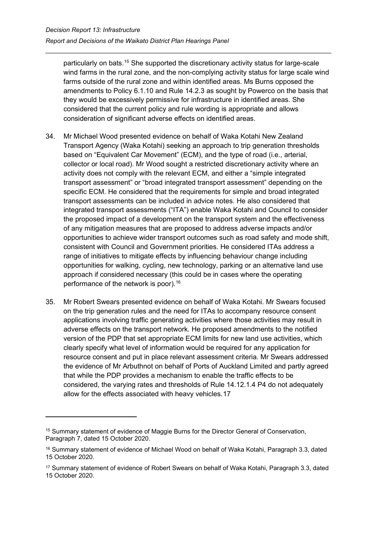particularly on bats.<sup>[15](#page-17-0)</sup> She supported the discretionary activity status for large-scale wind farms in the rural zone, and the non-complying activity status for large scale wind farms outside of the rural zone and within identified areas. Ms Burns opposed the amendments to Policy 6.1.10 and Rule 14.2.3 as sought by Powerco on the basis that they would be excessively permissive for infrastructure in identified areas. She considered that the current policy and rule wording is appropriate and allows consideration of significant adverse effects on identified areas.

- 34. Mr Michael Wood presented evidence on behalf of Waka Kotahi New Zealand Transport Agency (Waka Kotahi) seeking an approach to trip generation thresholds based on "Equivalent Car Movement" (ECM), and the type of road (i.e., arterial, collector or local road). Mr Wood sought a restricted discretionary activity where an activity does not comply with the relevant ECM, and either a "simple integrated transport assessment" or "broad integrated transport assessment" depending on the specific ECM. He considered that the requirements for simple and broad integrated transport assessments can be included in advice notes. He also considered that integrated transport assessments ("ITA") enable Waka Kotahi and Council to consider the proposed impact of a development on the transport system and the effectiveness of any mitigation measures that are proposed to address adverse impacts and/or opportunities to achieve wider transport outcomes such as road safety and mode shift, consistent with Council and Government priorities. He considered ITAs address a range of initiatives to mitigate effects by influencing behaviour change including opportunities for walking, cycling, new technology, parking or an alternative land use approach if considered necessary (this could be in cases where the operating performance of the network is poor).<sup>[16](#page-17-1)</sup>
- 35. Mr Robert Swears presented evidence on behalf of Waka Kotahi. Mr Swears focused on the trip generation rules and the need for ITAs to accompany resource consent applications involving traffic generating activities where those activities may result in adverse effects on the transport network. He proposed amendments to the notified version of the PDP that set appropriate ECM limits for new land use activities, which clearly specify what level of information would be required for any application for resource consent and put in place relevant assessment criteria. Mr Swears addressed the evidence of Mr Arbuthnot on behalf of Ports of Auckland Limited and partly agreed that while the PDP provides a mechanism to enable the traffic effects to be considered, the varying rates and thresholds of Rule 14.12.1.4 P4 do not adequately allow for the effects associated with heavy vehicles.[17](#page-17-2)

<span id="page-17-0"></span><sup>&</sup>lt;sup>15</sup> Summary statement of evidence of Maggie Burns for the Director General of Conservation, Paragraph 7, dated 15 October 2020.

<span id="page-17-1"></span><sup>&</sup>lt;sup>16</sup> Summary statement of evidence of Michael Wood on behalf of Waka Kotahi, Paragraph 3.3, dated 15 October 2020.

<span id="page-17-2"></span><sup>17</sup> Summary statement of evidence of Robert Swears on behalf of Waka Kotahi, Paragraph 3.3, dated 15 October 2020.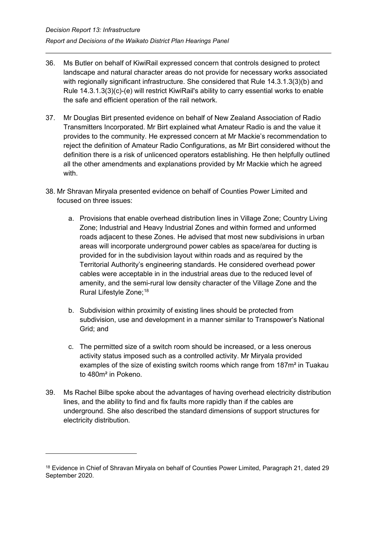- 36. Ms Butler on behalf of KiwiRail expressed concern that controls designed to protect landscape and natural character areas do not provide for necessary works associated with regionally significant infrastructure. She considered that Rule 14.3.1.3(3)(b) and Rule 14.3.1.3(3)(c)-(e) will restrict KiwiRail's ability to carry essential works to enable the safe and efficient operation of the rail network.
- 37. Mr Douglas Birt presented evidence on behalf of New Zealand Association of Radio Transmitters Incorporated. Mr Birt explained what Amateur Radio is and the value it provides to the community. He expressed concern at Mr Mackie's recommendation to reject the definition of Amateur Radio Configurations, as Mr Birt considered without the definition there is a risk of unlicenced operators establishing. He then helpfully outlined all the other amendments and explanations provided by Mr Mackie which he agreed with.
- 38. Mr Shravan Miryala presented evidence on behalf of Counties Power Limited and focused on three issues:
	- a. Provisions that enable overhead distribution lines in Village Zone; Country Living Zone; Industrial and Heavy Industrial Zones and within formed and unformed roads adjacent to these Zones. He advised that most new subdivisions in urban areas will incorporate underground power cables as space/area for ducting is provided for in the subdivision layout within roads and as required by the Territorial Authority's engineering standards. He considered overhead power cables were acceptable in in the industrial areas due to the reduced level of amenity, and the semi-rural low density character of the Village Zone and the Rural Lifestyle Zone; [18](#page-18-0)
	- b. Subdivision within proximity of existing lines should be protected from subdivision, use and development in a manner similar to Transpower's National Grid; and
	- c. The permitted size of a switch room should be increased, or a less onerous activity status imposed such as a controlled activity. Mr Miryala provided examples of the size of existing switch rooms which range from 187m² in Tuakau to 480m² in Pokeno.
- 39. Ms Rachel Bilbe spoke about the advantages of having overhead electricity distribution lines, and the ability to find and fix faults more rapidly than if the cables are underground. She also described the standard dimensions of support structures for electricity distribution.

<span id="page-18-0"></span><sup>&</sup>lt;sup>18</sup> Evidence in Chief of Shravan Miryala on behalf of Counties Power Limited, Paragraph 21, dated 29 September 2020.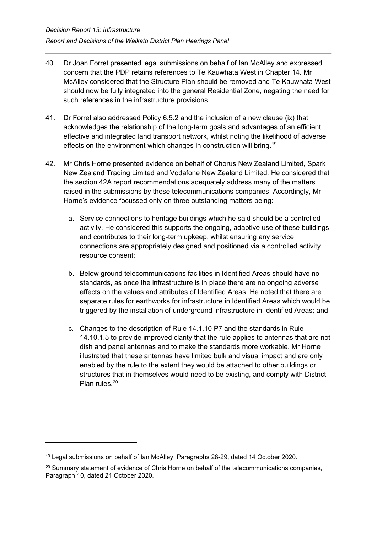- 40. Dr Joan Forret presented legal submissions on behalf of Ian McAlley and expressed concern that the PDP retains references to Te Kauwhata West in Chapter 14. Mr McAlley considered that the Structure Plan should be removed and Te Kauwhata West should now be fully integrated into the general Residential Zone, negating the need for such references in the infrastructure provisions.
- 41. Dr Forret also addressed Policy 6.5.2 and the inclusion of a new clause (ix) that acknowledges the relationship of the long-term goals and advantages of an efficient, effective and integrated land transport network, whilst noting the likelihood of adverse effects on the environment which changes in construction will bring.<sup>[19](#page-19-0)</sup>
- 42. Mr Chris Horne presented evidence on behalf of Chorus New Zealand Limited, Spark New Zealand Trading Limited and Vodafone New Zealand Limited. He considered that the section 42A report recommendations adequately address many of the matters raised in the submissions by these telecommunications companies. Accordingly, Mr Horne's evidence focussed only on three outstanding matters being:
	- a. Service connections to heritage buildings which he said should be a controlled activity. He considered this supports the ongoing, adaptive use of these buildings and contributes to their long-term upkeep, whilst ensuring any service connections are appropriately designed and positioned via a controlled activity resource consent;
	- b. Below ground telecommunications facilities in Identified Areas should have no standards, as once the infrastructure is in place there are no ongoing adverse effects on the values and attributes of Identified Areas. He noted that there are separate rules for earthworks for infrastructure in Identified Areas which would be triggered by the installation of underground infrastructure in Identified Areas; and
	- c. Changes to the description of Rule 14.1.10 P7 and the standards in Rule 14.10.1.5 to provide improved clarity that the rule applies to antennas that are not dish and panel antennas and to make the standards more workable. Mr Horne illustrated that these antennas have limited bulk and visual impact and are only enabled by the rule to the extent they would be attached to other buildings or structures that in themselves would need to be existing, and comply with District Plan rules.<sup>20</sup>

<span id="page-19-0"></span><sup>19</sup> Legal submissions on behalf of Ian McAlley, Paragraphs 28-29, dated 14 October 2020.

<span id="page-19-1"></span><sup>&</sup>lt;sup>20</sup> Summary statement of evidence of Chris Horne on behalf of the telecommunications companies, Paragraph 10, dated 21 October 2020.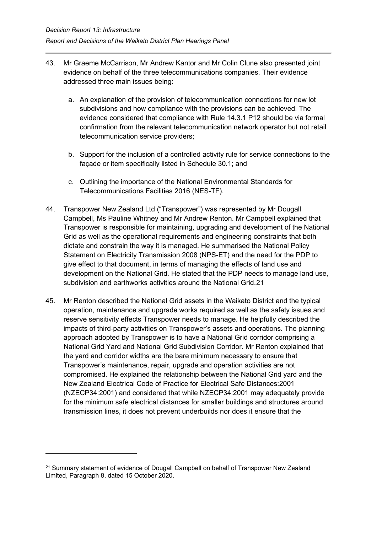- 43. Mr Graeme McCarrison, Mr Andrew Kantor and Mr Colin Clune also presented joint evidence on behalf of the three telecommunications companies. Their evidence addressed three main issues being:
	- a. An explanation of the provision of telecommunication connections for new lot subdivisions and how compliance with the provisions can be achieved. The evidence considered that compliance with Rule 14.3.1 P12 should be via formal confirmation from the relevant telecommunication network operator but not retail telecommunication service providers;
	- b. Support for the inclusion of a controlled activity rule for service connections to the façade or item specifically listed in Schedule 30.1; and
	- c. Outlining the importance of the National Environmental Standards for Telecommunications Facilities 2016 (NES-TF).
- 44. Transpower New Zealand Ltd ("Transpower") was represented by Mr Dougall Campbell, Ms Pauline Whitney and Mr Andrew Renton. Mr Campbell explained that Transpower is responsible for maintaining, upgrading and development of the National Grid as well as the operational requirements and engineering constraints that both dictate and constrain the way it is managed. He summarised the National Policy Statement on Electricity Transmission 2008 (NPS-ET) and the need for the PDP to give effect to that document, in terms of managing the effects of land use and development on the National Grid. He stated that the PDP needs to manage land use, subdivision and earthworks activities around the National Grid.[21](#page-20-0)
- 45. Mr Renton described the National Grid assets in the Waikato District and the typical operation, maintenance and upgrade works required as well as the safety issues and reserve sensitivity effects Transpower needs to manage. He helpfully described the impacts of third-party activities on Transpower's assets and operations. The planning approach adopted by Transpower is to have a National Grid corridor comprising a National Grid Yard and National Grid Subdivision Corridor. Mr Renton explained that the yard and corridor widths are the bare minimum necessary to ensure that Transpower's maintenance, repair, upgrade and operation activities are not compromised. He explained the relationship between the National Grid yard and the New Zealand Electrical Code of Practice for Electrical Safe Distances:2001 (NZECP34:2001) and considered that while NZECP34:2001 may adequately provide for the minimum safe electrical distances for smaller buildings and structures around transmission lines, it does not prevent underbuilds nor does it ensure that the

<span id="page-20-0"></span><sup>21</sup> Summary statement of evidence of Dougall Campbell on behalf of Transpower New Zealand Limited, Paragraph 8, dated 15 October 2020.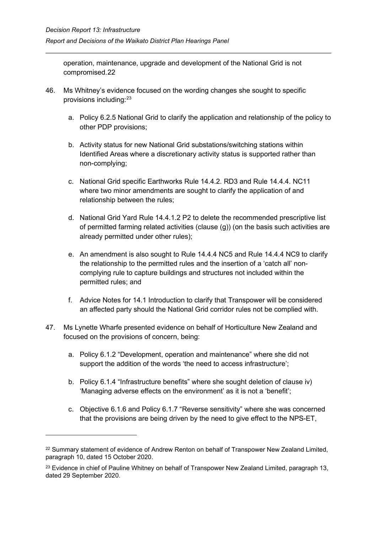operation, maintenance, upgrade and development of the National Grid is not compromised.[22](#page-21-0)

- 46. Ms Whitney's evidence focused on the wording changes she sought to specific provisions including: [23](#page-21-1)
	- a. Policy 6.2.5 National Grid to clarify the application and relationship of the policy to other PDP provisions;
	- b. Activity status for new National Grid substations/switching stations within Identified Areas where a discretionary activity status is supported rather than non-complying;
	- c. National Grid specific Earthworks Rule 14.4.2. RD3 and Rule 14.4.4. NC11 where two minor amendments are sought to clarify the application of and relationship between the rules;
	- d. National Grid Yard Rule 14.4.1.2 P2 to delete the recommended prescriptive list of permitted farming related activities (clause (g)) (on the basis such activities are already permitted under other rules);
	- e. An amendment is also sought to Rule 14.4.4 NC5 and Rule 14.4.4 NC9 to clarify the relationship to the permitted rules and the insertion of a 'catch all' noncomplying rule to capture buildings and structures not included within the permitted rules; and
	- f. Advice Notes for 14.1 Introduction to clarify that Transpower will be considered an affected party should the National Grid corridor rules not be complied with.
- 47. Ms Lynette Wharfe presented evidence on behalf of Horticulture New Zealand and focused on the provisions of concern, being:
	- a. Policy 6.1.2 "Development, operation and maintenance" where she did not support the addition of the words 'the need to access infrastructure';
	- b. Policy 6.1.4 "Infrastructure benefits" where she sought deletion of clause iv) 'Managing adverse effects on the environment' as it is not a 'benefit';
	- c. Objective 6.1.6 and Policy 6.1.7 "Reverse sensitivity" where she was concerned that the provisions are being driven by the need to give effect to the NPS-ET,

<span id="page-21-0"></span><sup>&</sup>lt;sup>22</sup> Summary statement of evidence of Andrew Renton on behalf of Transpower New Zealand Limited, paragraph 10, dated 15 October 2020.

<span id="page-21-1"></span><sup>&</sup>lt;sup>23</sup> Evidence in chief of Pauline Whitney on behalf of Transpower New Zealand Limited, paragraph 13, dated 29 September 2020.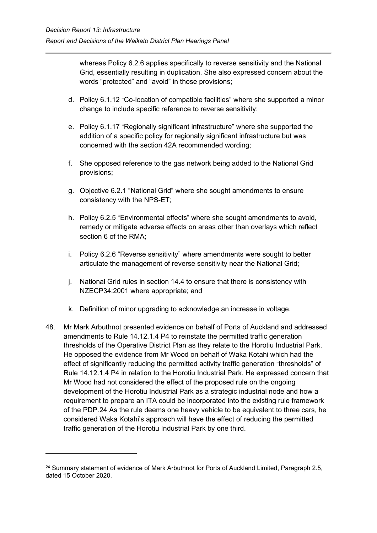whereas Policy 6.2.6 applies specifically to reverse sensitivity and the National Grid, essentially resulting in duplication. She also expressed concern about the words "protected" and "avoid" in those provisions;

- d. Policy 6.1.12 "Co-location of compatible facilities" where she supported a minor change to include specific reference to reverse sensitivity;
- e. Policy 6.1.17 "Regionally significant infrastructure" where she supported the addition of a specific policy for regionally significant infrastructure but was concerned with the section 42A recommended wording;
- f. She opposed reference to the gas network being added to the National Grid provisions;
- g. Objective 6.2.1 "National Grid" where she sought amendments to ensure consistency with the NPS-ET;
- h. Policy 6.2.5 "Environmental effects" where she sought amendments to avoid, remedy or mitigate adverse effects on areas other than overlays which reflect section 6 of the RMA;
- i. Policy 6.2.6 "Reverse sensitivity" where amendments were sought to better articulate the management of reverse sensitivity near the National Grid;
- j. National Grid rules in section 14.4 to ensure that there is consistency with NZECP34:2001 where appropriate; and
- k. Definition of minor upgrading to acknowledge an increase in voltage.
- 48. Mr Mark Arbuthnot presented evidence on behalf of Ports of Auckland and addressed amendments to Rule 14.12.1.4 P4 to reinstate the permitted traffic generation thresholds of the Operative District Plan as they relate to the Horotiu Industrial Park. He opposed the evidence from Mr Wood on behalf of Waka Kotahi which had the effect of significantly reducing the permitted activity traffic generation "thresholds" of Rule 14.12.1.4 P4 in relation to the Horotiu Industrial Park. He expressed concern that Mr Wood had not considered the effect of the proposed rule on the ongoing development of the Horotiu Industrial Park as a strategic industrial node and how a requirement to prepare an ITA could be incorporated into the existing rule framework of the PDP.[24](#page-22-0) As the rule deems one heavy vehicle to be equivalent to three cars, he considered Waka Kotahi's approach will have the effect of reducing the permitted traffic generation of the Horotiu Industrial Park by one third.

<span id="page-22-0"></span><sup>&</sup>lt;sup>24</sup> Summary statement of evidence of Mark Arbuthnot for Ports of Auckland Limited, Paragraph 2.5, dated 15 October 2020.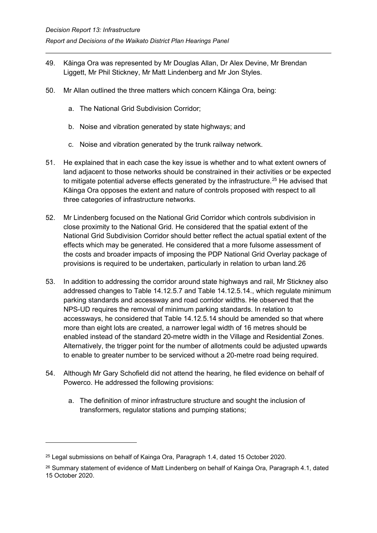- 49. Kāinga Ora was represented by Mr Douglas Allan, Dr Alex Devine, Mr Brendan Liggett, Mr Phil Stickney, Mr Matt Lindenberg and Mr Jon Styles.
- 50. Mr Allan outlined the three matters which concern Kāinga Ora, being:
	- a. The National Grid Subdivision Corridor;
	- b. Noise and vibration generated by state highways; and
	- c. Noise and vibration generated by the trunk railway network.
- 51. He explained that in each case the key issue is whether and to what extent owners of land adjacent to those networks should be constrained in their activities or be expected to mitigate potential adverse effects generated by the infrastructure.<sup>[25](#page-23-0)</sup> He advised that Kāinga Ora opposes the extent and nature of controls proposed with respect to all three categories of infrastructure networks.
- 52. Mr Lindenberg focused on the National Grid Corridor which controls subdivision in close proximity to the National Grid. He considered that the spatial extent of the National Grid Subdivision Corridor should better reflect the actual spatial extent of the effects which may be generated. He considered that a more fulsome assessment of the costs and broader impacts of imposing the PDP National Grid Overlay package of provisions is required to be undertaken, particularly in relation to urban land.[26](#page-23-1)
- 53. In addition to addressing the corridor around state highways and rail, Mr Stickney also addressed changes to Table 14.12.5.7 and Table 14.12.5.14., which regulate minimum parking standards and accessway and road corridor widths. He observed that the NPS-UD requires the removal of minimum parking standards. In relation to accessways, he considered that Table 14.12.5.14 should be amended so that where more than eight lots are created, a narrower legal width of 16 metres should be enabled instead of the standard 20-metre width in the Village and Residential Zones. Alternatively, the trigger point for the number of allotments could be adjusted upwards to enable to greater number to be serviced without a 20-metre road being required.
- 54. Although Mr Gary Schofield did not attend the hearing, he filed evidence on behalf of Powerco. He addressed the following provisions:
	- a. The definition of minor infrastructure structure and sought the inclusion of transformers, regulator stations and pumping stations;

<span id="page-23-0"></span><sup>25</sup> Legal submissions on behalf of Kainga Ora, Paragraph 1.4, dated 15 October 2020.

<span id="page-23-1"></span><sup>26</sup> Summary statement of evidence of Matt Lindenberg on behalf of Kainga Ora, Paragraph 4.1, dated 15 October 2020.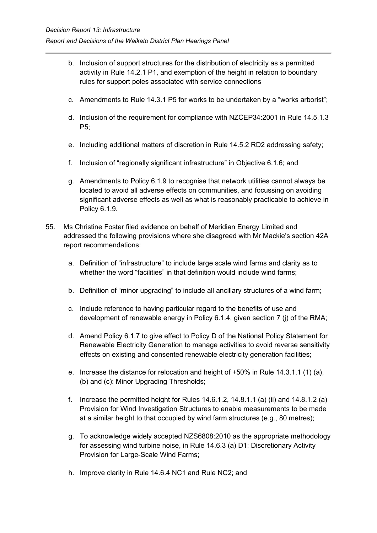- b. Inclusion of support structures for the distribution of electricity as a permitted activity in Rule 14.2.1 P1, and exemption of the height in relation to boundary rules for support poles associated with service connections
- c. Amendments to Rule 14.3.1 P5 for works to be undertaken by a "works arborist";
- d. Inclusion of the requirement for compliance with NZCEP34:2001 in Rule 14.5.1.3 P5;
- e. Including additional matters of discretion in Rule 14.5.2 RD2 addressing safety;
- f. Inclusion of "regionally significant infrastructure" in Objective 6.1.6; and
- g. Amendments to Policy 6.1.9 to recognise that network utilities cannot always be located to avoid all adverse effects on communities, and focussing on avoiding significant adverse effects as well as what is reasonably practicable to achieve in Policy 6.1.9.
- 55. Ms Christine Foster filed evidence on behalf of Meridian Energy Limited and addressed the following provisions where she disagreed with Mr Mackie's section 42A report recommendations:
	- a. Definition of "infrastructure" to include large scale wind farms and clarity as to whether the word "facilities" in that definition would include wind farms;
	- b. Definition of "minor upgrading" to include all ancillary structures of a wind farm;
	- c. Include reference to having particular regard to the benefits of use and development of renewable energy in Policy 6.1.4, given section 7 (j) of the RMA;
	- d. Amend Policy 6.1.7 to give effect to Policy D of the National Policy Statement for Renewable Electricity Generation to manage activities to avoid reverse sensitivity effects on existing and consented renewable electricity generation facilities;
	- e. Increase the distance for relocation and height of +50% in Rule 14.3.1.1 (1) (a), (b) and (c): Minor Upgrading Thresholds;
	- f. Increase the permitted height for Rules 14.6.1.2, 14.8.1.1 (a) (ii) and 14.8.1.2 (a) Provision for Wind Investigation Structures to enable measurements to be made at a similar height to that occupied by wind farm structures (e.g., 80 metres);
	- g. To acknowledge widely accepted NZS6808:2010 as the appropriate methodology for assessing wind turbine noise, in Rule 14.6.3 (a) D1: Discretionary Activity Provision for Large-Scale Wind Farms;
	- h. Improve clarity in Rule 14.6.4 NC1 and Rule NC2; and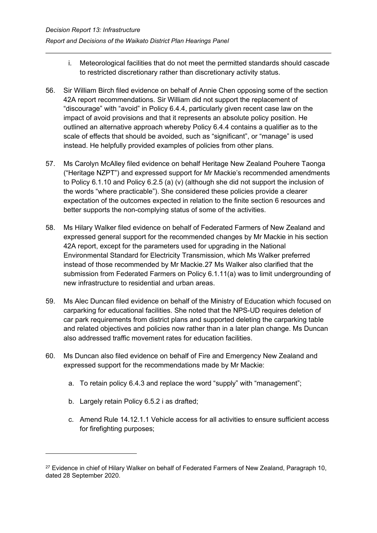- i. Meteorological facilities that do not meet the permitted standards should cascade to restricted discretionary rather than discretionary activity status.
- 56. Sir William Birch filed evidence on behalf of Annie Chen opposing some of the section 42A report recommendations. Sir William did not support the replacement of "discourage" with "avoid" in Policy 6.4.4, particularly given recent case law on the impact of avoid provisions and that it represents an absolute policy position. He outlined an alternative approach whereby Policy 6.4.4 contains a qualifier as to the scale of effects that should be avoided, such as "significant", or "manage" is used instead. He helpfully provided examples of policies from other plans.
- 57. Ms Carolyn McAlley filed evidence on behalf Heritage New Zealand Pouhere Taonga ("Heritage NZPT") and expressed support for Mr Mackie's recommended amendments to Policy 6.1.10 and Policy 6.2.5 (a) (v) (although she did not support the inclusion of the words "where practicable"). She considered these policies provide a clearer expectation of the outcomes expected in relation to the finite section 6 resources and better supports the non-complying status of some of the activities.
- 58. Ms Hilary Walker filed evidence on behalf of Federated Farmers of New Zealand and expressed general support for the recommended changes by Mr Mackie in his section 42A report, except for the parameters used for upgrading in the National Environmental Standard for Electricity Transmission, which Ms Walker preferred instead of those recommended by Mr Mackie[.27](#page-25-0) Ms Walker also clarified that the submission from Federated Farmers on Policy 6.1.11(a) was to limit undergrounding of new infrastructure to residential and urban areas.
- 59. Ms Alec Duncan filed evidence on behalf of the Ministry of Education which focused on carparking for educational facilities. She noted that the NPS-UD requires deletion of car park requirements from district plans and supported deleting the carparking table and related objectives and policies now rather than in a later plan change. Ms Duncan also addressed traffic movement rates for education facilities.
- 60. Ms Duncan also filed evidence on behalf of Fire and Emergency New Zealand and expressed support for the recommendations made by Mr Mackie:
	- a. To retain policy 6.4.3 and replace the word "supply" with "management";
	- b. Largely retain Policy 6.5.2 i as drafted;
	- c. Amend Rule 14.12.1.1 Vehicle access for all activities to ensure sufficient access for firefighting purposes;

<span id="page-25-0"></span><sup>&</sup>lt;sup>27</sup> Evidence in chief of Hilary Walker on behalf of Federated Farmers of New Zealand, Paragraph 10, dated 28 September 2020.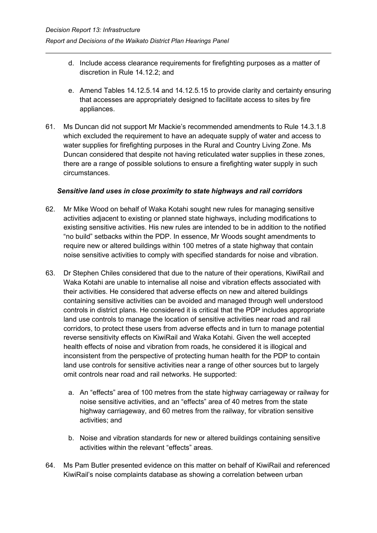- d. Include access clearance requirements for firefighting purposes as a matter of discretion in Rule 14.12.2; and
- e. Amend Tables 14.12.5.14 and 14.12.5.15 to provide clarity and certainty ensuring that accesses are appropriately designed to facilitate access to sites by fire appliances.
- 61. Ms Duncan did not support Mr Mackie's recommended amendments to Rule 14.3.1.8 which excluded the requirement to have an adequate supply of water and access to water supplies for firefighting purposes in the Rural and Country Living Zone. Ms Duncan considered that despite not having reticulated water supplies in these zones, there are a range of possible solutions to ensure a firefighting water supply in such circumstances.

## *Sensitive land uses in close proximity to state highways and rail corridors*

- 62. Mr Mike Wood on behalf of Waka Kotahi sought new rules for managing sensitive activities adjacent to existing or planned state highways, including modifications to existing sensitive activities. His new rules are intended to be in addition to the notified "no build" setbacks within the PDP. In essence, Mr Woods sought amendments to require new or altered buildings within 100 metres of a state highway that contain noise sensitive activities to comply with specified standards for noise and vibration.
- 63. Dr Stephen Chiles considered that due to the nature of their operations, KiwiRail and Waka Kotahi are unable to internalise all noise and vibration effects associated with their activities. He considered that adverse effects on new and altered buildings containing sensitive activities can be avoided and managed through well understood controls in district plans. He considered it is critical that the PDP includes appropriate land use controls to manage the location of sensitive activities near road and rail corridors, to protect these users from adverse effects and in turn to manage potential reverse sensitivity effects on KiwiRail and Waka Kotahi. Given the well accepted health effects of noise and vibration from roads, he considered it is illogical and inconsistent from the perspective of protecting human health for the PDP to contain land use controls for sensitive activities near a range of other sources but to largely omit controls near road and rail networks. He supported:
	- a. An "effects" area of 100 metres from the state highway carriageway or railway for noise sensitive activities, and an "effects" area of 40 metres from the state highway carriageway, and 60 metres from the railway, for vibration sensitive activities; and
	- b. Noise and vibration standards for new or altered buildings containing sensitive activities within the relevant "effects" areas.
- 64. Ms Pam Butler presented evidence on this matter on behalf of KiwiRail and referenced KiwiRail's noise complaints database as showing a correlation between urban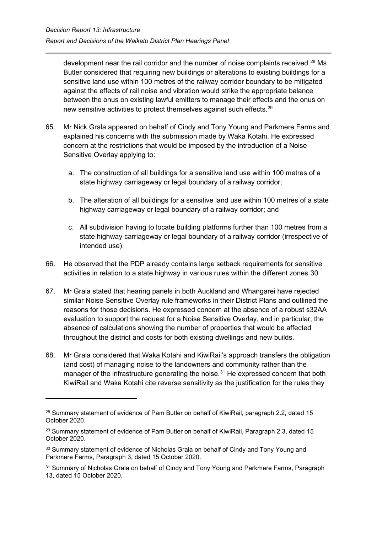development near the rail corridor and the number of noise complaints received.<sup>[28](#page-27-0)</sup> Ms Butler considered that requiring new buildings or alterations to existing buildings for a sensitive land use within 100 metres of the railway corridor boundary to be mitigated against the effects of rail noise and vibration would strike the appropriate balance between the onus on existing lawful emitters to manage their effects and the onus on new sensitive activities to protect themselves against such effects. [29](#page-27-1)

- 65. Mr Nick Grala appeared on behalf of Cindy and Tony Young and Parkmere Farms and explained his concerns with the submission made by Waka Kotahi. He expressed concern at the restrictions that would be imposed by the introduction of a Noise Sensitive Overlay applying to:
	- a. The construction of all buildings for a sensitive land use within 100 metres of a state highway carriageway or legal boundary of a railway corridor;
	- b. The alteration of all buildings for a sensitive land use within 100 metres of a state highway carriageway or legal boundary of a railway corridor; and
	- c. All subdivision having to locate building platforms further than 100 metres from a state highway carriageway or legal boundary of a railway corridor (irrespective of intended use).
- 66. He observed that the PDP already contains large setback requirements for sensitive activities in relation to a state highway in various rules within the different zones.[30](#page-27-2)
- 67. Mr Grala stated that hearing panels in both Auckland and Whangarei have rejected similar Noise Sensitive Overlay rule frameworks in their District Plans and outlined the reasons for those decisions. He expressed concern at the absence of a robust s32AA evaluation to support the request for a Noise Sensitive Overlay, and in particular, the absence of calculations showing the number of properties that would be affected throughout the district and costs for both existing dwellings and new builds.
- 68. Mr Grala considered that Waka Kotahi and KiwiRail's approach transfers the obligation (and cost) of managing noise to the landowners and community rather than the manager of the infrastructure generating the noise.<sup>[31](#page-27-3)</sup> He expressed concern that both KiwiRail and Waka Kotahi cite reverse sensitivity as the justification for the rules they

<span id="page-27-0"></span><sup>&</sup>lt;sup>28</sup> Summary statement of evidence of Pam Butler on behalf of KiwiRail, paragraph 2.2, dated 15 October 2020.

<span id="page-27-1"></span> $29$  Summary statement of evidence of Pam Butler on behalf of KiwiRail, Paragraph 2.3, dated 15 October 2020.

<span id="page-27-2"></span><sup>&</sup>lt;sup>30</sup> Summary statement of evidence of Nicholas Grala on behalf of Cindy and Tony Young and Parkmere Farms, Paragraph 3, dated 15 October 2020.

<span id="page-27-3"></span><sup>&</sup>lt;sup>31</sup> Summary of Nicholas Grala on behalf of Cindy and Tony Young and Parkmere Farms, Paragraph 13, dated 15 October 2020.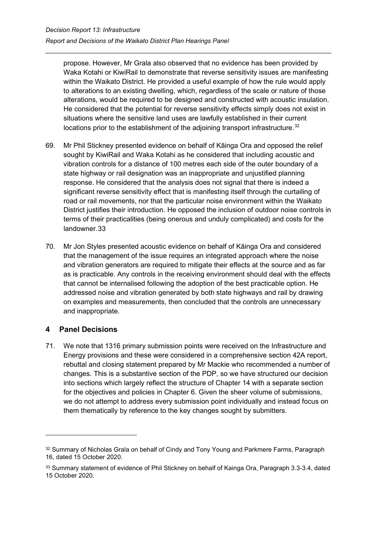propose. However, Mr Grala also observed that no evidence has been provided by Waka Kotahi or KiwiRail to demonstrate that reverse sensitivity issues are manifesting within the Waikato District. He provided a useful example of how the rule would apply to alterations to an existing dwelling, which, regardless of the scale or nature of those alterations, would be required to be designed and constructed with acoustic insulation. He considered that the potential for reverse sensitivity effects simply does not exist in situations where the sensitive land uses are lawfully established in their current locations prior to the establishment of the adjoining transport infrastructure.<sup>[32](#page-28-1)</sup>

- 69. Mr Phil Stickney presented evidence on behalf of Kāinga Ora and opposed the relief sought by KiwiRail and Waka Kotahi as he considered that including acoustic and vibration controls for a distance of 100 metres each side of the outer boundary of a state highway or rail designation was an inappropriate and unjustified planning response. He considered that the analysis does not signal that there is indeed a significant reverse sensitivity effect that is manifesting itself through the curtailing of road or rail movements, nor that the particular noise environment within the Waikato District justifies their introduction. He opposed the inclusion of outdoor noise controls in terms of their practicalities (being onerous and unduly complicated) and costs for the landowner.[33](#page-28-2)
- 70. Mr Jon Styles presented acoustic evidence on behalf of Kāinga Ora and considered that the management of the issue requires an integrated approach where the noise and vibration generators are required to mitigate their effects at the source and as far as is practicable. Any controls in the receiving environment should deal with the effects that cannot be internalised following the adoption of the best practicable option. He addressed noise and vibration generated by both state highways and rail by drawing on examples and measurements, then concluded that the controls are unnecessary and inappropriate.

## <span id="page-28-0"></span>**4 Panel Decisions**

71. We note that 1316 primary submission points were received on the Infrastructure and Energy provisions and these were considered in a comprehensive section 42A report, rebuttal and closing statement prepared by Mr Mackie who recommended a number of changes. This is a substantive section of the PDP, so we have structured our decision into sections which largely reflect the structure of Chapter 14 with a separate section for the objectives and policies in Chapter 6. Given the sheer volume of submissions, we do not attempt to address every submission point individually and instead focus on them thematically by reference to the key changes sought by submitters.

<span id="page-28-1"></span><sup>32</sup> Summary of Nicholas Grala on behalf of Cindy and Tony Young and Parkmere Farms, Paragraph 16, dated 15 October 2020.

<span id="page-28-2"></span><sup>33</sup> Summary statement of evidence of Phil Stickney on behalf of Kainga Ora, Paragraph 3.3-3.4, dated 15 October 2020.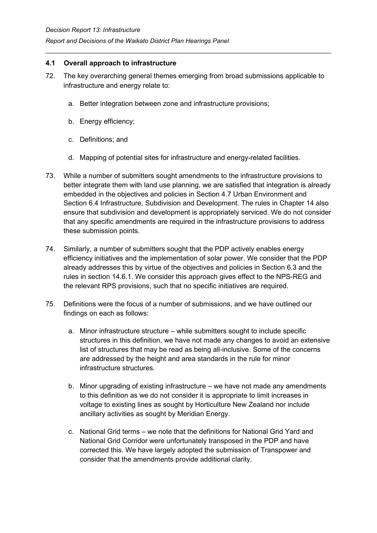#### <span id="page-29-0"></span>**4.1 Overall approach to infrastructure**

- 72. The key overarching general themes emerging from broad submissions applicable to infrastructure and energy relate to:
	- a. Better integration between zone and infrastructure provisions;
	- b. Energy efficiency;
	- c. Definitions; and
	- d. Mapping of potential sites for infrastructure and energy-related facilities.
- 73. While a number of submitters sought amendments to the infrastructure provisions to better integrate them with land use planning, we are satisfied that integration is already embedded in the objectives and policies in Section 4.7 Urban Environment and Section 6.4 Infrastructure, Subdivision and Development. The rules in Chapter 14 also ensure that subdivision and development is appropriately serviced. We do not consider that any specific amendments are required in the infrastructure provisions to address these submission points.
- 74. Similarly, a number of submitters sought that the PDP actively enables energy efficiency initiatives and the implementation of solar power. We consider that the PDP already addresses this by virtue of the objectives and policies in Section 6.3 and the rules in section 14.6.1. We consider this approach gives effect to the NPS-REG and the relevant RPS provisions, such that no specific initiatives are required.
- 75. Definitions were the focus of a number of submissions, and we have outlined our findings on each as follows:
	- a. Minor infrastructure structure while submitters sought to include specific structures in this definition, we have not made any changes to avoid an extensive list of structures that may be read as being all-inclusive. Some of the concerns are addressed by the height and area standards in the rule for minor infrastructure structures.
	- b. Minor upgrading of existing infrastructure we have not made any amendments to this definition as we do not consider it is appropriate to limit increases in voltage to existing lines as sought by Horticulture New Zealand nor include ancillary activities as sought by Meridian Energy.
	- c. National Grid terms we note that the definitions for National Grid Yard and National Grid Corridor were unfortunately transposed in the PDP and have corrected this. We have largely adopted the submission of Transpower and consider that the amendments provide additional clarity.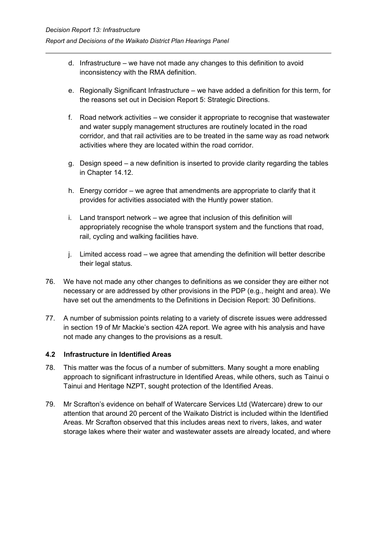- d. Infrastructure we have not made any changes to this definition to avoid inconsistency with the RMA definition.
- e. Regionally Significant Infrastructure we have added a definition for this term, for the reasons set out in Decision Report 5: Strategic Directions.
- f. Road network activities we consider it appropriate to recognise that wastewater and water supply management structures are routinely located in the road corridor, and that rail activities are to be treated in the same way as road network activities where they are located within the road corridor.
- g. Design speed a new definition is inserted to provide clarity regarding the tables in Chapter 14.12.
- h. Energy corridor we agree that amendments are appropriate to clarify that it provides for activities associated with the Huntly power station.
- i. Land transport network we agree that inclusion of this definition will appropriately recognise the whole transport system and the functions that road, rail, cycling and walking facilities have.
- j. Limited access road we agree that amending the definition will better describe their legal status.
- 76. We have not made any other changes to definitions as we consider they are either not necessary or are addressed by other provisions in the PDP (e.g., height and area). We have set out the amendments to the Definitions in Decision Report: 30 Definitions.
- 77. A number of submission points relating to a variety of discrete issues were addressed in section 19 of Mr Mackie's section 42A report. We agree with his analysis and have not made any changes to the provisions as a result.

## <span id="page-30-0"></span>**4.2 Infrastructure in Identified Areas**

- 78. This matter was the focus of a number of submitters. Many sought a more enabling approach to significant infrastructure in Identified Areas, while others, such as Tainui o Tainui and Heritage NZPT, sought protection of the Identified Areas.
- 79. Mr Scrafton's evidence on behalf of Watercare Services Ltd (Watercare) drew to our attention that around 20 percent of the Waikato District is included within the Identified Areas. Mr Scrafton observed that this includes areas next to rivers, lakes, and water storage lakes where their water and wastewater assets are already located, and where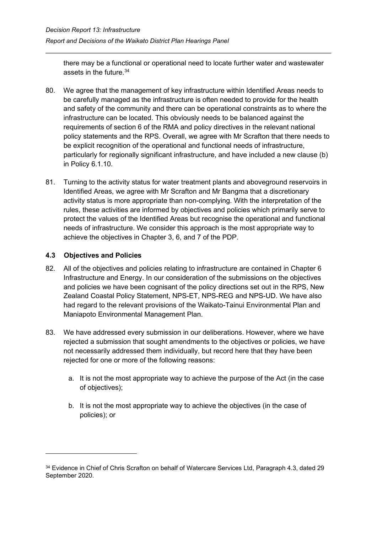there may be a functional or operational need to locate further water and wastewater assets in the future. [34](#page-31-1)

- 80. We agree that the management of key infrastructure within Identified Areas needs to be carefully managed as the infrastructure is often needed to provide for the health and safety of the community and there can be operational constraints as to where the infrastructure can be located. This obviously needs to be balanced against the requirements of section 6 of the RMA and policy directives in the relevant national policy statements and the RPS. Overall, we agree with Mr Scrafton that there needs to be explicit recognition of the operational and functional needs of infrastructure, particularly for regionally significant infrastructure, and have included a new clause (b) in Policy 6.1.10.
- 81. Turning to the activity status for water treatment plants and aboveground reservoirs in Identified Areas, we agree with Mr Scrafton and Mr Bangma that a discretionary activity status is more appropriate than non-complying. With the interpretation of the rules, these activities are informed by objectives and policies which primarily serve to protect the values of the Identified Areas but recognise the operational and functional needs of infrastructure. We consider this approach is the most appropriate way to achieve the objectives in Chapter 3, 6, and 7 of the PDP.

## <span id="page-31-0"></span>**4.3 Objectives and Policies**

- 82. All of the objectives and policies relating to infrastructure are contained in Chapter 6 Infrastructure and Energy. In our consideration of the submissions on the objectives and policies we have been cognisant of the policy directions set out in the RPS, New Zealand Coastal Policy Statement, NPS-ET, NPS-REG and NPS-UD. We have also had regard to the relevant provisions of the Waikato-Tainui Environmental Plan and Maniapoto Environmental Management Plan.
- 83. We have addressed every submission in our deliberations. However, where we have rejected a submission that sought amendments to the objectives or policies, we have not necessarily addressed them individually, but record here that they have been rejected for one or more of the following reasons:
	- a. It is not the most appropriate way to achieve the purpose of the Act (in the case of objectives);
	- b. It is not the most appropriate way to achieve the objectives (in the case of policies); or

<span id="page-31-1"></span><sup>&</sup>lt;sup>34</sup> Evidence in Chief of Chris Scrafton on behalf of Watercare Services Ltd, Paragraph 4.3, dated 29 September 2020.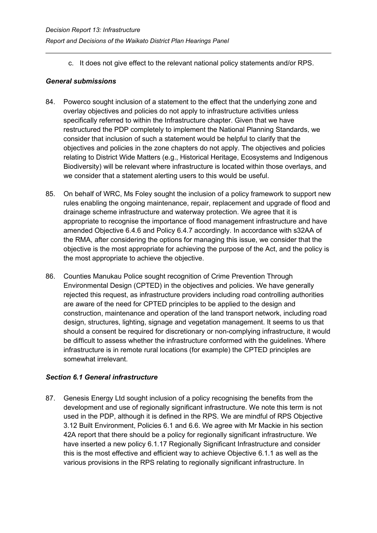c. It does not give effect to the relevant national policy statements and/or RPS.

#### *General submissions*

- 84. Powerco sought inclusion of a statement to the effect that the underlying zone and overlay objectives and policies do not apply to infrastructure activities unless specifically referred to within the Infrastructure chapter. Given that we have restructured the PDP completely to implement the National Planning Standards, we consider that inclusion of such a statement would be helpful to clarify that the objectives and policies in the zone chapters do not apply. The objectives and policies relating to District Wide Matters (e.g., Historical Heritage, Ecosystems and Indigenous Biodiversity) will be relevant where infrastructure is located within those overlays, and we consider that a statement alerting users to this would be useful.
- 85. On behalf of WRC, Ms Foley sought the inclusion of a policy framework to support new rules enabling the ongoing maintenance, repair, replacement and upgrade of flood and drainage scheme infrastructure and waterway protection. We agree that it is appropriate to recognise the importance of flood management infrastructure and have amended Objective 6.4.6 and Policy 6.4.7 accordingly. In accordance with s32AA of the RMA, after considering the options for managing this issue, we consider that the objective is the most appropriate for achieving the purpose of the Act, and the policy is the most appropriate to achieve the objective.
- 86. Counties Manukau Police sought recognition of Crime Prevention Through Environmental Design (CPTED) in the objectives and policies. We have generally rejected this request, as infrastructure providers including road controlling authorities are aware of the need for CPTED principles to be applied to the design and construction, maintenance and operation of the land transport network, including road design, structures, lighting, signage and vegetation management. It seems to us that should a consent be required for discretionary or non-complying infrastructure, it would be difficult to assess whether the infrastructure conformed with the guidelines. Where infrastructure is in remote rural locations (for example) the CPTED principles are somewhat irrelevant.

## *Section 6.1 General infrastructure*

87. Genesis Energy Ltd sought inclusion of a policy recognising the benefits from the development and use of regionally significant infrastructure. We note this term is not used in the PDP, although it is defined in the RPS. We are mindful of RPS Objective 3.12 Built Environment, Policies 6.1 and 6.6. We agree with Mr Mackie in his section 42A report that there should be a policy for regionally significant infrastructure. We have inserted a new policy 6.1.17 Regionally Significant Infrastructure and consider this is the most effective and efficient way to achieve Objective 6.1.1 as well as the various provisions in the RPS relating to regionally significant infrastructure. In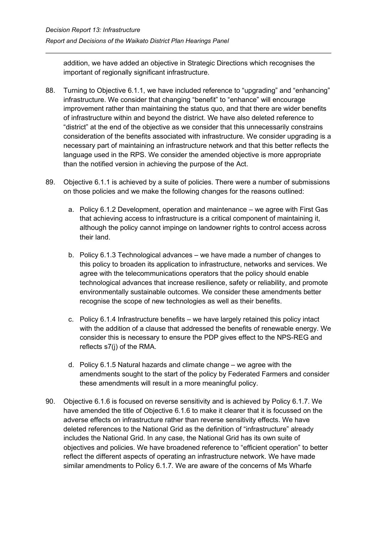addition, we have added an objective in Strategic Directions which recognises the important of regionally significant infrastructure.

- 88. Turning to Objective 6.1.1, we have included reference to "upgrading" and "enhancing" infrastructure. We consider that changing "benefit" to "enhance" will encourage improvement rather than maintaining the status quo, and that there are wider benefits of infrastructure within and beyond the district. We have also deleted reference to "district" at the end of the objective as we consider that this unnecessarily constrains consideration of the benefits associated with infrastructure. We consider upgrading is a necessary part of maintaining an infrastructure network and that this better reflects the language used in the RPS. We consider the amended objective is more appropriate than the notified version in achieving the purpose of the Act.
- 89. Objective 6.1.1 is achieved by a suite of policies. There were a number of submissions on those policies and we make the following changes for the reasons outlined:
	- a. Policy 6.1.2 Development, operation and maintenance we agree with First Gas that achieving access to infrastructure is a critical component of maintaining it, although the policy cannot impinge on landowner rights to control access across their land.
	- b. Policy 6.1.3 Technological advances we have made a number of changes to this policy to broaden its application to infrastructure, networks and services. We agree with the telecommunications operators that the policy should enable technological advances that increase resilience, safety or reliability, and promote environmentally sustainable outcomes. We consider these amendments better recognise the scope of new technologies as well as their benefits.
	- c. Policy 6.1.4 Infrastructure benefits we have largely retained this policy intact with the addition of a clause that addressed the benefits of renewable energy. We consider this is necessary to ensure the PDP gives effect to the NPS-REG and reflects s7(j) of the RMA.
	- d. Policy 6.1.5 Natural hazards and climate change we agree with the amendments sought to the start of the policy by Federated Farmers and consider these amendments will result in a more meaningful policy.
- 90. Objective 6.1.6 is focused on reverse sensitivity and is achieved by Policy 6.1.7. We have amended the title of Objective 6.1.6 to make it clearer that it is focussed on the adverse effects on infrastructure rather than reverse sensitivity effects. We have deleted references to the National Grid as the definition of "infrastructure" already includes the National Grid. In any case, the National Grid has its own suite of objectives and policies. We have broadened reference to "efficient operation" to better reflect the different aspects of operating an infrastructure network. We have made similar amendments to Policy 6.1.7. We are aware of the concerns of Ms Wharfe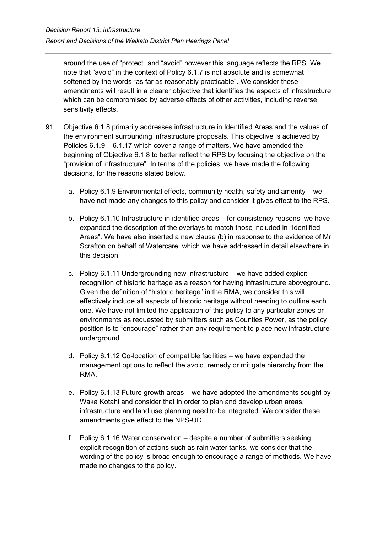around the use of "protect" and "avoid" however this language reflects the RPS. We note that "avoid" in the context of Policy 6.1.7 is not absolute and is somewhat softened by the words "as far as reasonably practicable". We consider these amendments will result in a clearer objective that identifies the aspects of infrastructure which can be compromised by adverse effects of other activities, including reverse sensitivity effects.

- 91. Objective 6.1.8 primarily addresses infrastructure in Identified Areas and the values of the environment surrounding infrastructure proposals. This objective is achieved by Policies 6.1.9 – 6.1.17 which cover a range of matters. We have amended the beginning of Objective 6.1.8 to better reflect the RPS by focusing the objective on the "provision of infrastructure". In terms of the policies, we have made the following decisions, for the reasons stated below.
	- a. Policy 6.1.9 Environmental effects, community health, safety and amenity we have not made any changes to this policy and consider it gives effect to the RPS.
	- b. Policy 6.1.10 Infrastructure in identified areas for consistency reasons, we have expanded the description of the overlays to match those included in "Identified Areas". We have also inserted a new clause (b) in response to the evidence of Mr Scrafton on behalf of Watercare, which we have addressed in detail elsewhere in this decision.
	- c. Policy 6.1.11 Undergrounding new infrastructure we have added explicit recognition of historic heritage as a reason for having infrastructure aboveground. Given the definition of "historic heritage" in the RMA, we consider this will effectively include all aspects of historic heritage without needing to outline each one. We have not limited the application of this policy to any particular zones or environments as requested by submitters such as Counties Power, as the policy position is to "encourage" rather than any requirement to place new infrastructure underground.
	- d. Policy 6.1.12 Co-location of compatible facilities we have expanded the management options to reflect the avoid, remedy or mitigate hierarchy from the RMA.
	- e. Policy 6.1.13 Future growth areas we have adopted the amendments sought by Waka Kotahi and consider that in order to plan and develop urban areas, infrastructure and land use planning need to be integrated. We consider these amendments give effect to the NPS-UD.
	- f. Policy 6.1.16 Water conservation despite a number of submitters seeking explicit recognition of actions such as rain water tanks, we consider that the wording of the policy is broad enough to encourage a range of methods. We have made no changes to the policy.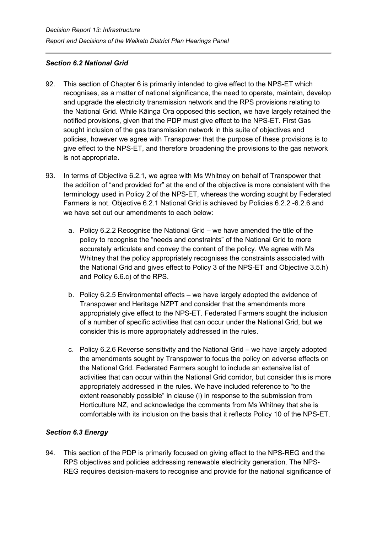## *Section 6.2 National Grid*

- 92. This section of Chapter 6 is primarily intended to give effect to the NPS-ET which recognises, as a matter of national significance, the need to operate, maintain, develop and upgrade the electricity transmission network and the RPS provisions relating to the National Grid. While Kāinga Ora opposed this section, we have largely retained the notified provisions, given that the PDP must give effect to the NPS-ET. First Gas sought inclusion of the gas transmission network in this suite of objectives and policies, however we agree with Transpower that the purpose of these provisions is to give effect to the NPS-ET, and therefore broadening the provisions to the gas network is not appropriate.
- 93. In terms of Objective 6.2.1, we agree with Ms Whitney on behalf of Transpower that the addition of "and provided for" at the end of the objective is more consistent with the terminology used in Policy 2 of the NPS-ET, whereas the wording sought by Federated Farmers is not. Objective 6.2.1 National Grid is achieved by Policies 6.2.2 -6.2.6 and we have set out our amendments to each below:
	- a. Policy 6.2.2 Recognise the National Grid we have amended the title of the policy to recognise the "needs and constraints" of the National Grid to more accurately articulate and convey the content of the policy. We agree with Ms Whitney that the policy appropriately recognises the constraints associated with the National Grid and gives effect to Policy 3 of the NPS-ET and Objective 3.5.h) and Policy 6.6.c) of the RPS.
	- b. Policy 6.2.5 Environmental effects we have largely adopted the evidence of Transpower and Heritage NZPT and consider that the amendments more appropriately give effect to the NPS-ET. Federated Farmers sought the inclusion of a number of specific activities that can occur under the National Grid, but we consider this is more appropriately addressed in the rules.
	- c. Policy 6.2.6 Reverse sensitivity and the National Grid we have largely adopted the amendments sought by Transpower to focus the policy on adverse effects on the National Grid. Federated Farmers sought to include an extensive list of activities that can occur within the National Grid corridor, but consider this is more appropriately addressed in the rules. We have included reference to "to the extent reasonably possible" in clause (i) in response to the submission from Horticulture NZ, and acknowledge the comments from Ms Whitney that she is comfortable with its inclusion on the basis that it reflects Policy 10 of the NPS-ET.

## *Section 6.3 Energy*

94. This section of the PDP is primarily focused on giving effect to the NPS-REG and the RPS objectives and policies addressing renewable electricity generation. The NPS-REG requires decision-makers to recognise and provide for the national significance of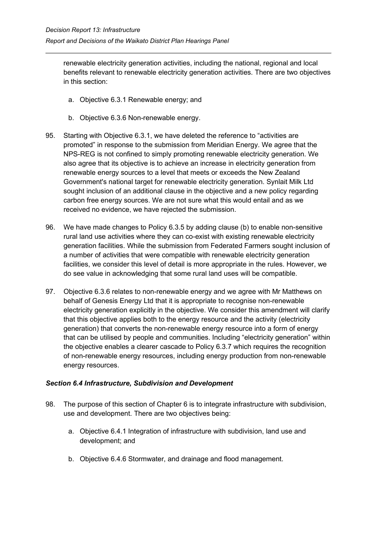renewable electricity generation activities, including the national, regional and local benefits relevant to renewable electricity generation activities. There are two objectives in this section:

- a. Objective 6.3.1 Renewable energy; and
- b. Objective 6.3.6 Non-renewable energy.
- 95. Starting with Objective 6.3.1, we have deleted the reference to "activities are promoted" in response to the submission from Meridian Energy. We agree that the NPS-REG is not confined to simply promoting renewable electricity generation. We also agree that its objective is to achieve an increase in electricity generation from renewable energy sources to a level that meets or exceeds the New Zealand Government's national target for renewable electricity generation. Synlait Milk Ltd sought inclusion of an additional clause in the objective and a new policy regarding carbon free energy sources. We are not sure what this would entail and as we received no evidence, we have rejected the submission.
- 96. We have made changes to Policy 6.3.5 by adding clause (b) to enable non-sensitive rural land use activities where they can co-exist with existing renewable electricity generation facilities. While the submission from Federated Farmers sought inclusion of a number of activities that were compatible with renewable electricity generation facilities, we consider this level of detail is more appropriate in the rules. However, we do see value in acknowledging that some rural land uses will be compatible.
- 97. Objective 6.3.6 relates to non-renewable energy and we agree with Mr Matthews on behalf of Genesis Energy Ltd that it is appropriate to recognise non-renewable electricity generation explicitly in the objective. We consider this amendment will clarify that this objective applies both to the energy resource and the activity (electricity generation) that converts the non-renewable energy resource into a form of energy that can be utilised by people and communities. Including "electricity generation" within the objective enables a clearer cascade to Policy 6.3.7 which requires the recognition of non-renewable energy resources, including energy production from non-renewable energy resources.

#### *Section 6.4 Infrastructure, Subdivision and Development*

- 98. The purpose of this section of Chapter 6 is to integrate infrastructure with subdivision, use and development. There are two objectives being:
	- a. Objective 6.4.1 Integration of infrastructure with subdivision, land use and development; and
	- b. Objective 6.4.6 Stormwater, and drainage and flood management.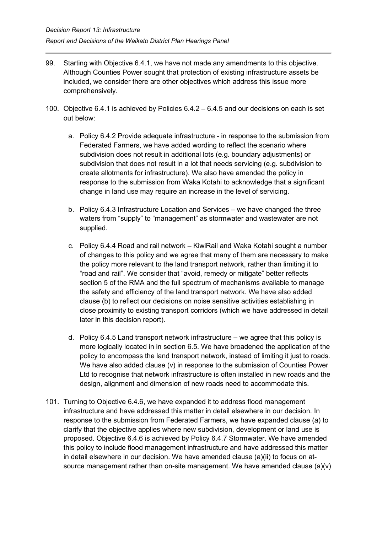- 99. Starting with Objective 6.4.1, we have not made any amendments to this objective. Although Counties Power sought that protection of existing infrastructure assets be included, we consider there are other objectives which address this issue more comprehensively.
- 100. Objective 6.4.1 is achieved by Policies 6.4.2 6.4.5 and our decisions on each is set out below:
	- a. Policy 6.4.2 Provide adequate infrastructure in response to the submission from Federated Farmers, we have added wording to reflect the scenario where subdivision does not result in additional lots (e.g. boundary adjustments) or subdivision that does not result in a lot that needs servicing (e.g. subdivision to create allotments for infrastructure). We also have amended the policy in response to the submission from Waka Kotahi to acknowledge that a significant change in land use may require an increase in the level of servicing.
	- b. Policy 6.4.3 Infrastructure Location and Services we have changed the three waters from "supply" to "management" as stormwater and wastewater are not supplied.
	- c. Policy 6.4.4 Road and rail network KiwiRail and Waka Kotahi sought a number of changes to this policy and we agree that many of them are necessary to make the policy more relevant to the land transport network, rather than limiting it to "road and rail". We consider that "avoid, remedy or mitigate" better reflects section 5 of the RMA and the full spectrum of mechanisms available to manage the safety and efficiency of the land transport network. We have also added clause (b) to reflect our decisions on noise sensitive activities establishing in close proximity to existing transport corridors (which we have addressed in detail later in this decision report).
	- d. Policy 6.4.5 Land transport network infrastructure we agree that this policy is more logically located in in section 6.5. We have broadened the application of the policy to encompass the land transport network, instead of limiting it just to roads. We have also added clause (v) in response to the submission of Counties Power Ltd to recognise that network infrastructure is often installed in new roads and the design, alignment and dimension of new roads need to accommodate this.
- 101. Turning to Objective 6.4.6, we have expanded it to address flood management infrastructure and have addressed this matter in detail elsewhere in our decision. In response to the submission from Federated Farmers, we have expanded clause (a) to clarify that the objective applies where new subdivision, development or land use is proposed. Objective 6.4.6 is achieved by Policy 6.4.7 Stormwater. We have amended this policy to include flood management infrastructure and have addressed this matter in detail elsewhere in our decision. We have amended clause (a)(ii) to focus on atsource management rather than on-site management. We have amended clause  $(a)(v)$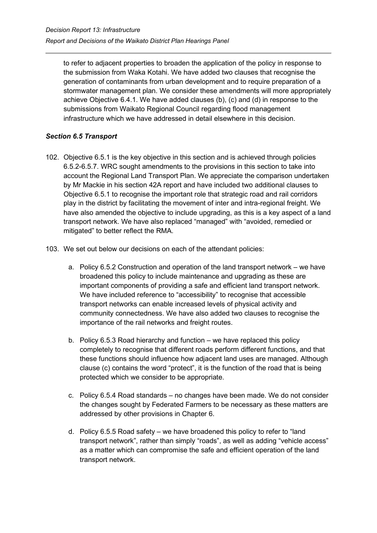to refer to adjacent properties to broaden the application of the policy in response to the submission from Waka Kotahi. We have added two clauses that recognise the generation of contaminants from urban development and to require preparation of a stormwater management plan. We consider these amendments will more appropriately achieve Objective 6.4.1. We have added clauses (b), (c) and (d) in response to the submissions from Waikato Regional Council regarding flood management infrastructure which we have addressed in detail elsewhere in this decision.

## *Section 6.5 Transport*

- 102. Objective 6.5.1 is the key objective in this section and is achieved through policies 6.5.2-6.5.7. WRC sought amendments to the provisions in this section to take into account the Regional Land Transport Plan. We appreciate the comparison undertaken by Mr Mackie in his section 42A report and have included two additional clauses to Objective 6.5.1 to recognise the important role that strategic road and rail corridors play in the district by facilitating the movement of inter and intra-regional freight. We have also amended the objective to include upgrading, as this is a key aspect of a land transport network. We have also replaced "managed" with "avoided, remedied or mitigated" to better reflect the RMA.
- 103. We set out below our decisions on each of the attendant policies:
	- a. Policy 6.5.2 Construction and operation of the land transport network we have broadened this policy to include maintenance and upgrading as these are important components of providing a safe and efficient land transport network. We have included reference to "accessibility" to recognise that accessible transport networks can enable increased levels of physical activity and community connectedness. We have also added two clauses to recognise the importance of the rail networks and freight routes.
	- b. Policy 6.5.3 Road hierarchy and function we have replaced this policy completely to recognise that different roads perform different functions, and that these functions should influence how adjacent land uses are managed. Although clause (c) contains the word "protect", it is the function of the road that is being protected which we consider to be appropriate.
	- c. Policy 6.5.4 Road standards no changes have been made. We do not consider the changes sought by Federated Farmers to be necessary as these matters are addressed by other provisions in Chapter 6.
	- d. Policy 6.5.5 Road safety we have broadened this policy to refer to "land transport network", rather than simply "roads", as well as adding "vehicle access" as a matter which can compromise the safe and efficient operation of the land transport network.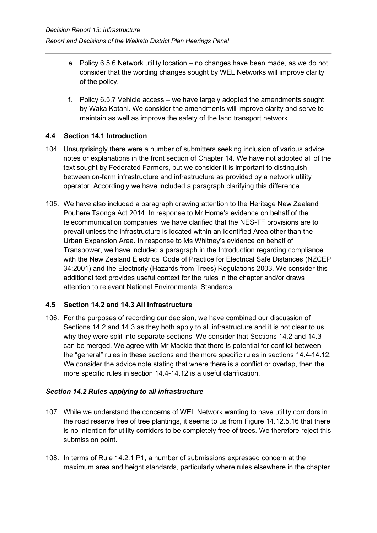- e. Policy 6.5.6 Network utility location no changes have been made, as we do not consider that the wording changes sought by WEL Networks will improve clarity of the policy.
- f. Policy 6.5.7 Vehicle access we have largely adopted the amendments sought by Waka Kotahi. We consider the amendments will improve clarity and serve to maintain as well as improve the safety of the land transport network.

## <span id="page-39-0"></span>**4.4 Section 14.1 Introduction**

- 104. Unsurprisingly there were a number of submitters seeking inclusion of various advice notes or explanations in the front section of Chapter 14. We have not adopted all of the text sought by Federated Farmers, but we consider it is important to distinguish between on-farm infrastructure and infrastructure as provided by a network utility operator. Accordingly we have included a paragraph clarifying this difference.
- 105. We have also included a paragraph drawing attention to the Heritage New Zealand Pouhere Taonga Act 2014. In response to Mr Horne's evidence on behalf of the telecommunication companies, we have clarified that the NES-TF provisions are to prevail unless the infrastructure is located within an Identified Area other than the Urban Expansion Area. In response to Ms Whitney's evidence on behalf of Transpower, we have included a paragraph in the Introduction regarding compliance with the New Zealand Electrical Code of Practice for Electrical Safe Distances (NZCEP 34:2001) and the Electricity (Hazards from Trees) Regulations 2003. We consider this additional text provides useful context for the rules in the chapter and/or draws attention to relevant National Environmental Standards.

## <span id="page-39-1"></span>**4.5 Section 14.2 and 14.3 All Infrastructure**

106. For the purposes of recording our decision, we have combined our discussion of Sections 14.2 and 14.3 as they both apply to all infrastructure and it is not clear to us why they were split into separate sections. We consider that Sections 14.2 and 14.3 can be merged. We agree with Mr Mackie that there is potential for conflict between the "general" rules in these sections and the more specific rules in sections 14.4-14.12. We consider the advice note stating that where there is a conflict or overlap, then the more specific rules in section 14.4-14.12 is a useful clarification.

## *Section 14.2 Rules applying to all infrastructure*

- 107. While we understand the concerns of WEL Network wanting to have utility corridors in the road reserve free of tree plantings, it seems to us from Figure 14.12.5.16 that there is no intention for utility corridors to be completely free of trees. We therefore reject this submission point.
- 108. In terms of Rule 14.2.1 P1, a number of submissions expressed concern at the maximum area and height standards, particularly where rules elsewhere in the chapter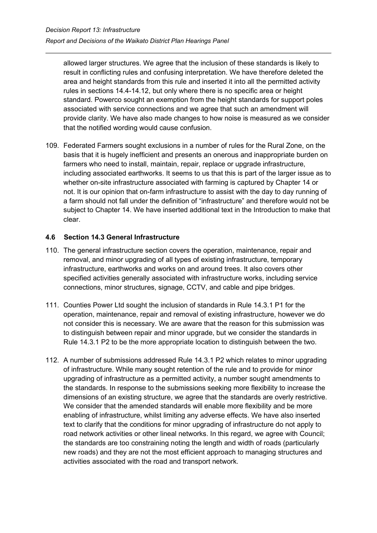allowed larger structures. We agree that the inclusion of these standards is likely to result in conflicting rules and confusing interpretation. We have therefore deleted the area and height standards from this rule and inserted it into all the permitted activity rules in sections 14.4-14.12, but only where there is no specific area or height standard. Powerco sought an exemption from the height standards for support poles associated with service connections and we agree that such an amendment will provide clarity. We have also made changes to how noise is measured as we consider that the notified wording would cause confusion.

109. Federated Farmers sought exclusions in a number of rules for the Rural Zone, on the basis that it is hugely inefficient and presents an onerous and inappropriate burden on farmers who need to install, maintain, repair, replace or upgrade infrastructure, including associated earthworks. It seems to us that this is part of the larger issue as to whether on-site infrastructure associated with farming is captured by Chapter 14 or not. It is our opinion that on-farm infrastructure to assist with the day to day running of a farm should not fall under the definition of "infrastructure" and therefore would not be subject to Chapter 14. We have inserted additional text in the Introduction to make that clear.

#### <span id="page-40-0"></span>**4.6 Section 14.3 General Infrastructure**

- 110. The general infrastructure section covers the operation, maintenance, repair and removal, and minor upgrading of all types of existing infrastructure, temporary infrastructure, earthworks and works on and around trees. It also covers other specified activities generally associated with infrastructure works, including service connections, minor structures, signage, CCTV, and cable and pipe bridges.
- 111. Counties Power Ltd sought the inclusion of standards in Rule 14.3.1 P1 for the operation, maintenance, repair and removal of existing infrastructure, however we do not consider this is necessary. We are aware that the reason for this submission was to distinguish between repair and minor upgrade, but we consider the standards in Rule 14.3.1 P2 to be the more appropriate location to distinguish between the two.
- 112. A number of submissions addressed Rule 14.3.1 P2 which relates to minor upgrading of infrastructure. While many sought retention of the rule and to provide for minor upgrading of infrastructure as a permitted activity, a number sought amendments to the standards. In response to the submissions seeking more flexibility to increase the dimensions of an existing structure, we agree that the standards are overly restrictive. We consider that the amended standards will enable more flexibility and be more enabling of infrastructure, whilst limiting any adverse effects. We have also inserted text to clarify that the conditions for minor upgrading of infrastructure do not apply to road network activities or other lineal networks. In this regard, we agree with Council; the standards are too constraining noting the length and width of roads (particularly new roads) and they are not the most efficient approach to managing structures and activities associated with the road and transport network.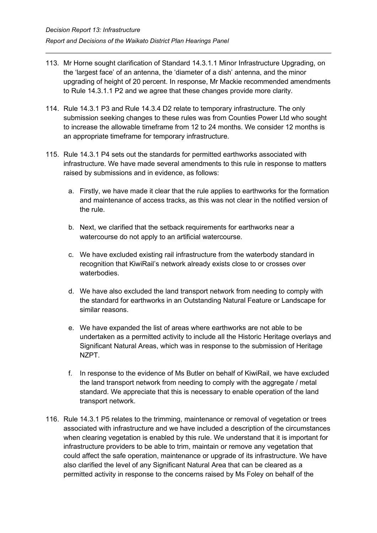- 113. Mr Horne sought clarification of Standard 14.3.1.1 Minor Infrastructure Upgrading, on the 'largest face' of an antenna, the 'diameter of a dish' antenna, and the minor upgrading of height of 20 percent. In response, Mr Mackie recommended amendments to Rule 14.3.1.1 P2 and we agree that these changes provide more clarity.
- 114. Rule 14.3.1 P3 and Rule 14.3.4 D2 relate to temporary infrastructure. The only submission seeking changes to these rules was from Counties Power Ltd who sought to increase the allowable timeframe from 12 to 24 months. We consider 12 months is an appropriate timeframe for temporary infrastructure.
- 115. Rule 14.3.1 P4 sets out the standards for permitted earthworks associated with infrastructure. We have made several amendments to this rule in response to matters raised by submissions and in evidence, as follows:
	- a. Firstly, we have made it clear that the rule applies to earthworks for the formation and maintenance of access tracks, as this was not clear in the notified version of the rule.
	- b. Next, we clarified that the setback requirements for earthworks near a watercourse do not apply to an artificial watercourse.
	- c. We have excluded existing rail infrastructure from the waterbody standard in recognition that KiwiRail's network already exists close to or crosses over waterbodies.
	- d. We have also excluded the land transport network from needing to comply with the standard for earthworks in an Outstanding Natural Feature or Landscape for similar reasons.
	- e. We have expanded the list of areas where earthworks are not able to be undertaken as a permitted activity to include all the Historic Heritage overlays and Significant Natural Areas, which was in response to the submission of Heritage NZPT.
	- f. In response to the evidence of Ms Butler on behalf of KiwiRail, we have excluded the land transport network from needing to comply with the aggregate / metal standard. We appreciate that this is necessary to enable operation of the land transport network.
- 116. Rule 14.3.1 P5 relates to the trimming, maintenance or removal of vegetation or trees associated with infrastructure and we have included a description of the circumstances when clearing vegetation is enabled by this rule. We understand that it is important for infrastructure providers to be able to trim, maintain or remove any vegetation that could affect the safe operation, maintenance or upgrade of its infrastructure. We have also clarified the level of any Significant Natural Area that can be cleared as a permitted activity in response to the concerns raised by Ms Foley on behalf of the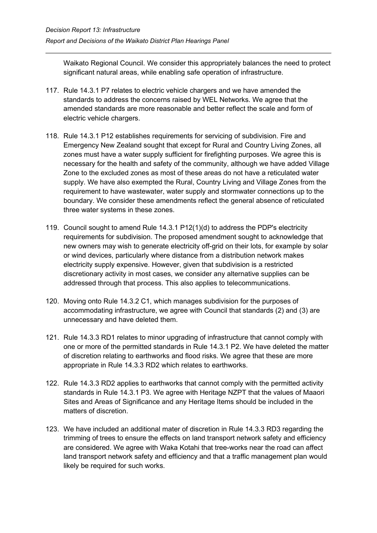Waikato Regional Council. We consider this appropriately balances the need to protect significant natural areas, while enabling safe operation of infrastructure.

- 117. Rule 14.3.1 P7 relates to electric vehicle chargers and we have amended the standards to address the concerns raised by WEL Networks. We agree that the amended standards are more reasonable and better reflect the scale and form of electric vehicle chargers.
- 118. Rule 14.3.1 P12 establishes requirements for servicing of subdivision. Fire and Emergency New Zealand sought that except for Rural and Country Living Zones, all zones must have a water supply sufficient for firefighting purposes. We agree this is necessary for the health and safety of the community, although we have added Village Zone to the excluded zones as most of these areas do not have a reticulated water supply. We have also exempted the Rural, Country Living and Village Zones from the requirement to have wastewater, water supply and stormwater connections up to the boundary. We consider these amendments reflect the general absence of reticulated three water systems in these zones.
- 119. Council sought to amend Rule 14.3.1 P12(1)(d) to address the PDP's electricity requirements for subdivision. The proposed amendment sought to acknowledge that new owners may wish to generate electricity off-grid on their lots, for example by solar or wind devices, particularly where distance from a distribution network makes electricity supply expensive. However, given that subdivision is a restricted discretionary activity in most cases, we consider any alternative supplies can be addressed through that process. This also applies to telecommunications.
- 120. Moving onto Rule 14.3.2 C1, which manages subdivision for the purposes of accommodating infrastructure, we agree with Council that standards (2) and (3) are unnecessary and have deleted them.
- 121. Rule 14.3.3 RD1 relates to minor upgrading of infrastructure that cannot comply with one or more of the permitted standards in Rule 14.3.1 P2. We have deleted the matter of discretion relating to earthworks and flood risks. We agree that these are more appropriate in Rule 14.3.3 RD2 which relates to earthworks.
- 122. Rule 14.3.3 RD2 applies to earthworks that cannot comply with the permitted activity standards in Rule 14.3.1 P3. We agree with Heritage NZPT that the values of Maaori Sites and Areas of Significance and any Heritage Items should be included in the matters of discretion.
- 123. We have included an additional mater of discretion in Rule 14.3.3 RD3 regarding the trimming of trees to ensure the effects on land transport network safety and efficiency are considered. We agree with Waka Kotahi that tree-works near the road can affect land transport network safety and efficiency and that a traffic management plan would likely be required for such works.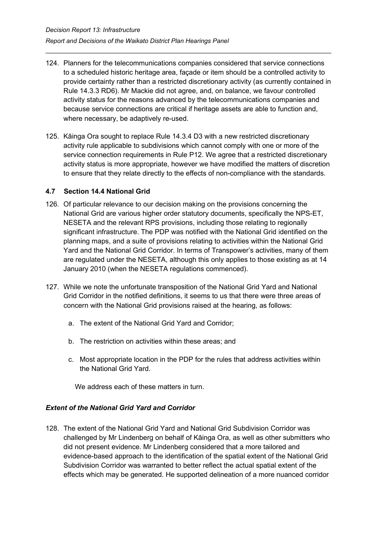- 124. Planners for the telecommunications companies considered that service connections to a scheduled historic heritage area, façade or item should be a controlled activity to provide certainty rather than a restricted discretionary activity (as currently contained in Rule 14.3.3 RD6). Mr Mackie did not agree, and, on balance, we favour controlled activity status for the reasons advanced by the telecommunications companies and because service connections are critical if heritage assets are able to function and, where necessary, be adaptively re-used.
- 125. Kāinga Ora sought to replace Rule 14.3.4 D3 with a new restricted discretionary activity rule applicable to subdivisions which cannot comply with one or more of the service connection requirements in Rule P12. We agree that a restricted discretionary activity status is more appropriate, however we have modified the matters of discretion to ensure that they relate directly to the effects of non-compliance with the standards.

#### <span id="page-43-0"></span>**4.7 Section 14.4 National Grid**

- 126. Of particular relevance to our decision making on the provisions concerning the National Grid are various higher order statutory documents, specifically the NPS-ET, NESETA and the relevant RPS provisions, including those relating to regionally significant infrastructure. The PDP was notified with the National Grid identified on the planning maps, and a suite of provisions relating to activities within the National Grid Yard and the National Grid Corridor. In terms of Transpower's activities, many of them are regulated under the NESETA, although this only applies to those existing as at 14 January 2010 (when the NESETA regulations commenced).
- 127. While we note the unfortunate transposition of the National Grid Yard and National Grid Corridor in the notified definitions, it seems to us that there were three areas of concern with the National Grid provisions raised at the hearing, as follows:
	- a. The extent of the National Grid Yard and Corridor;
	- b. The restriction on activities within these areas; and
	- c. Most appropriate location in the PDP for the rules that address activities within the National Grid Yard.

We address each of these matters in turn.

## *Extent of the National Grid Yard and Corridor*

128. The extent of the National Grid Yard and National Grid Subdivision Corridor was challenged by Mr Lindenberg on behalf of Kāinga Ora, as well as other submitters who did not present evidence. Mr Lindenberg considered that a more tailored and evidence-based approach to the identification of the spatial extent of the National Grid Subdivision Corridor was warranted to better reflect the actual spatial extent of the effects which may be generated. He supported delineation of a more nuanced corridor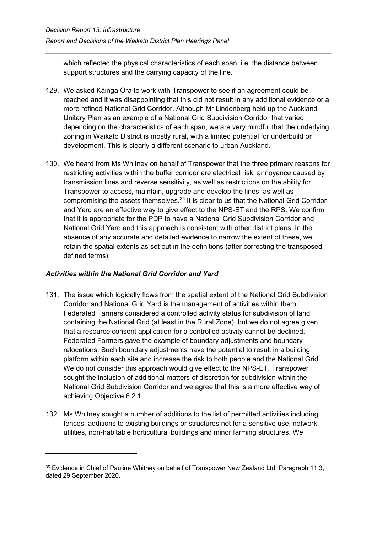which reflected the physical characteristics of each span, i.e. the distance between support structures and the carrying capacity of the line.

- 129. We asked Kāinga Ora to work with Transpower to see if an agreement could be reached and it was disappointing that this did not result in any additional evidence or a more refined National Grid Corridor. Although Mr Lindenberg held up the Auckland Unitary Plan as an example of a National Grid Subdivision Corridor that varied depending on the characteristics of each span, we are very mindful that the underlying zoning in Waikato District is mostly rural, with a limited potential for underbuild or development. This is clearly a different scenario to urban Auckland.
- 130. We heard from Ms Whitney on behalf of Transpower that the three primary reasons for restricting activities within the buffer corridor are electrical risk, annoyance caused by transmission lines and reverse sensitivity, as well as restrictions on the ability for Transpower to access, maintain, upgrade and develop the lines, as well as compromising the assets themselves.<sup>[35](#page-44-0)</sup> It is clear to us that the National Grid Corridor and Yard are an effective way to give effect to the NPS-ET and the RPS. We confirm that it is appropriate for the PDP to have a National Grid Subdivision Corridor and National Grid Yard and this approach is consistent with other district plans. In the absence of any accurate and detailed evidence to narrow the extent of these, we retain the spatial extents as set out in the definitions (after correcting the transposed defined terms).

## *Activities within the National Grid Corridor and Yard*

- 131. The issue which logically flows from the spatial extent of the National Grid Subdivision Corridor and National Grid Yard is the management of activities within them. Federated Farmers considered a controlled activity status for subdivision of land containing the National Grid (at least in the Rural Zone), but we do not agree given that a resource consent application for a controlled activity cannot be declined. Federated Farmers gave the example of boundary adjustments and boundary relocations. Such boundary adjustments have the potential to result in a building platform within each site and increase the risk to both people and the National Grid. We do not consider this approach would give effect to the NPS-ET. Transpower sought the inclusion of additional matters of discretion for subdivision within the National Grid Subdivision Corridor and we agree that this is a more effective way of achieving Objective 6.2.1.
- 132. Ms Whitney sought a number of additions to the list of permitted activities including fences, additions to existing buildings or structures not for a sensitive use, network utilities, non-habitable horticultural buildings and minor farming structures. We

<span id="page-44-0"></span><sup>&</sup>lt;sup>35</sup> Evidence in Chief of Pauline Whitney on behalf of Transpower New Zealand Ltd, Paragraph 11.3, dated 29 September 2020.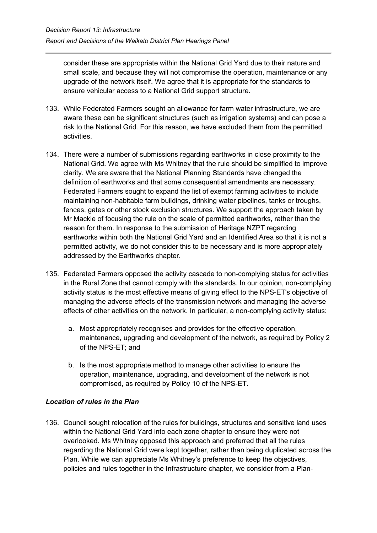consider these are appropriate within the National Grid Yard due to their nature and small scale, and because they will not compromise the operation, maintenance or any upgrade of the network itself. We agree that it is appropriate for the standards to ensure vehicular access to a National Grid support structure.

- 133. While Federated Farmers sought an allowance for farm water infrastructure, we are aware these can be significant structures (such as irrigation systems) and can pose a risk to the National Grid. For this reason, we have excluded them from the permitted activities.
- 134. There were a number of submissions regarding earthworks in close proximity to the National Grid. We agree with Ms Whitney that the rule should be simplified to improve clarity. We are aware that the National Planning Standards have changed the definition of earthworks and that some consequential amendments are necessary. Federated Farmers sought to expand the list of exempt farming activities to include maintaining non-habitable farm buildings, drinking water pipelines, tanks or troughs, fences, gates or other stock exclusion structures. We support the approach taken by Mr Mackie of focusing the rule on the scale of permitted earthworks, rather than the reason for them. In response to the submission of Heritage NZPT regarding earthworks within both the National Grid Yard and an Identified Area so that it is not a permitted activity, we do not consider this to be necessary and is more appropriately addressed by the Earthworks chapter.
- 135. Federated Farmers opposed the activity cascade to non-complying status for activities in the Rural Zone that cannot comply with the standards. In our opinion, non-complying activity status is the most effective means of giving effect to the NPS-ET's objective of managing the adverse effects of the transmission network and managing the adverse effects of other activities on the network. In particular, a non-complying activity status:
	- a. Most appropriately recognises and provides for the effective operation, maintenance, upgrading and development of the network, as required by Policy 2 of the NPS-ET; and
	- b. Is the most appropriate method to manage other activities to ensure the operation, maintenance, upgrading, and development of the network is not compromised, as required by Policy 10 of the NPS-ET.

## *Location of rules in the Plan*

136. Council sought relocation of the rules for buildings, structures and sensitive land uses within the National Grid Yard into each zone chapter to ensure they were not overlooked. Ms Whitney opposed this approach and preferred that all the rules regarding the National Grid were kept together, rather than being duplicated across the Plan. While we can appreciate Ms Whitney's preference to keep the objectives, policies and rules together in the Infrastructure chapter, we consider from a Plan-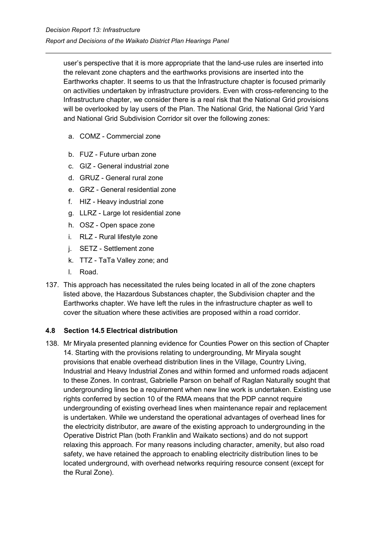user's perspective that it is more appropriate that the land-use rules are inserted into the relevant zone chapters and the earthworks provisions are inserted into the Earthworks chapter. It seems to us that the Infrastructure chapter is focused primarily on activities undertaken by infrastructure providers. Even with cross-referencing to the Infrastructure chapter, we consider there is a real risk that the National Grid provisions will be overlooked by lay users of the Plan. The National Grid, the National Grid Yard and National Grid Subdivision Corridor sit over the following zones:

- a. COMZ Commercial zone
- b. FUZ Future urban zone
- c. GIZ General industrial zone
- d. GRUZ General rural zone
- e. GRZ General residential zone
- f. HIZ Heavy industrial zone
- g. LLRZ Large lot residential zone
- h. OSZ Open space zone
- i. RLZ Rural lifestyle zone
- j. SETZ Settlement zone
- k. TTZ TaTa Valley zone; and
- l. Road.
- 137. This approach has necessitated the rules being located in all of the zone chapters listed above, the Hazardous Substances chapter, the Subdivision chapter and the Earthworks chapter. We have left the rules in the infrastructure chapter as well to cover the situation where these activities are proposed within a road corridor.

#### <span id="page-46-0"></span>**4.8 Section 14.5 Electrical distribution**

138. Mr Miryala presented planning evidence for Counties Power on this section of Chapter 14. Starting with the provisions relating to undergrounding, Mr Miryala sought provisions that enable overhead distribution lines in the Village, Country Living, Industrial and Heavy Industrial Zones and within formed and unformed roads adjacent to these Zones. In contrast, Gabrielle Parson on behalf of Raglan Naturally sought that undergrounding lines be a requirement when new line work is undertaken. Existing use rights conferred by section 10 of the RMA means that the PDP cannot require undergrounding of existing overhead lines when maintenance repair and replacement is undertaken. While we understand the operational advantages of overhead lines for the electricity distributor, are aware of the existing approach to undergrounding in the Operative District Plan (both Franklin and Waikato sections) and do not support relaxing this approach. For many reasons including character, amenity, but also road safety, we have retained the approach to enabling electricity distribution lines to be located underground, with overhead networks requiring resource consent (except for the Rural Zone).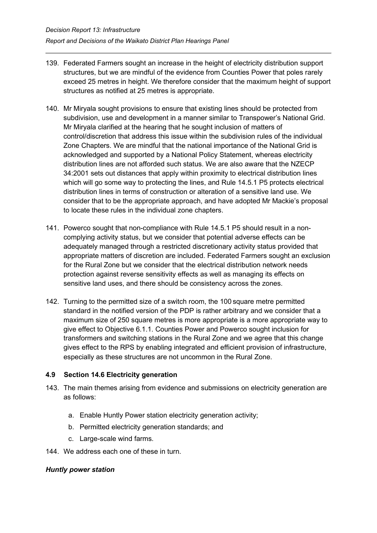- 139. Federated Farmers sought an increase in the height of electricity distribution support structures, but we are mindful of the evidence from Counties Power that poles rarely exceed 25 metres in height. We therefore consider that the maximum height of support structures as notified at 25 metres is appropriate.
- 140. Mr Miryala sought provisions to ensure that existing lines should be protected from subdivision, use and development in a manner similar to Transpower's National Grid. Mr Miryala clarified at the hearing that he sought inclusion of matters of control/discretion that address this issue within the subdivision rules of the individual Zone Chapters. We are mindful that the national importance of the National Grid is acknowledged and supported by a National Policy Statement, whereas electricity distribution lines are not afforded such status. We are also aware that the NZECP 34:2001 sets out distances that apply within proximity to electrical distribution lines which will go some way to protecting the lines, and Rule 14.5.1 P5 protects electrical distribution lines in terms of construction or alteration of a sensitive land use. We consider that to be the appropriate approach, and have adopted Mr Mackie's proposal to locate these rules in the individual zone chapters.
- 141. Powerco sought that non-compliance with Rule 14.5.1 P5 should result in a noncomplying activity status, but we consider that potential adverse effects can be adequately managed through a restricted discretionary activity status provided that appropriate matters of discretion are included. Federated Farmers sought an exclusion for the Rural Zone but we consider that the electrical distribution network needs protection against reverse sensitivity effects as well as managing its effects on sensitive land uses, and there should be consistency across the zones.
- 142. Turning to the permitted size of a switch room, the 100 square metre permitted standard in the notified version of the PDP is rather arbitrary and we consider that a maximum size of 250 square metres is more appropriate is a more appropriate way to give effect to Objective 6.1.1. Counties Power and Powerco sought inclusion for transformers and switching stations in the Rural Zone and we agree that this change gives effect to the RPS by enabling integrated and efficient provision of infrastructure, especially as these structures are not uncommon in the Rural Zone.

## <span id="page-47-0"></span>**4.9 Section 14.6 Electricity generation**

- 143. The main themes arising from evidence and submissions on electricity generation are as follows:
	- a. Enable Huntly Power station electricity generation activity;
	- b. Permitted electricity generation standards; and
	- c. Large-scale wind farms.
- 144. We address each one of these in turn.

#### *Huntly power station*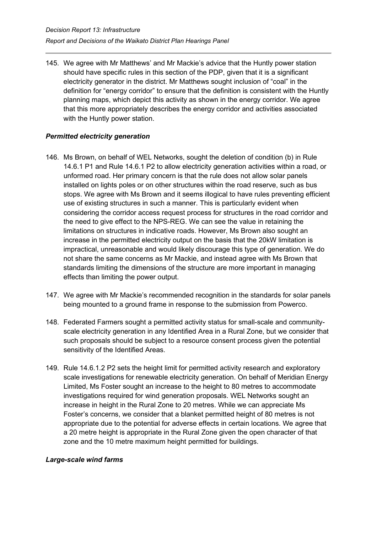145. We agree with Mr Matthews' and Mr Mackie's advice that the Huntly power station should have specific rules in this section of the PDP, given that it is a significant electricity generator in the district. Mr Matthews sought inclusion of "coal" in the definition for "energy corridor" to ensure that the definition is consistent with the Huntly planning maps, which depict this activity as shown in the energy corridor. We agree that this more appropriately describes the energy corridor and activities associated with the Huntly power station.

## *Permitted electricity generation*

- 146. Ms Brown, on behalf of WEL Networks, sought the deletion of condition (b) in Rule 14.6.1 P1 and Rule 14.6.1 P2 to allow electricity generation activities within a road, or unformed road. Her primary concern is that the rule does not allow solar panels installed on lights poles or on other structures within the road reserve, such as bus stops. We agree with Ms Brown and it seems illogical to have rules preventing efficient use of existing structures in such a manner. This is particularly evident when considering the corridor access request process for structures in the road corridor and the need to give effect to the NPS-REG. We can see the value in retaining the limitations on structures in indicative roads. However, Ms Brown also sought an increase in the permitted electricity output on the basis that the 20kW limitation is impractical, unreasonable and would likely discourage this type of generation. We do not share the same concerns as Mr Mackie, and instead agree with Ms Brown that standards limiting the dimensions of the structure are more important in managing effects than limiting the power output.
- 147. We agree with Mr Mackie's recommended recognition in the standards for solar panels being mounted to a ground frame in response to the submission from Powerco.
- 148. Federated Farmers sought a permitted activity status for small-scale and communityscale electricity generation in any Identified Area in a Rural Zone, but we consider that such proposals should be subject to a resource consent process given the potential sensitivity of the Identified Areas.
- 149. Rule 14.6.1.2 P2 sets the height limit for permitted activity research and exploratory scale investigations for renewable electricity generation. On behalf of Meridian Energy Limited, Ms Foster sought an increase to the height to 80 metres to accommodate investigations required for wind generation proposals. WEL Networks sought an increase in height in the Rural Zone to 20 metres. While we can appreciate Ms Foster's concerns, we consider that a blanket permitted height of 80 metres is not appropriate due to the potential for adverse effects in certain locations. We agree that a 20 metre height is appropriate in the Rural Zone given the open character of that zone and the 10 metre maximum height permitted for buildings.

#### *Large-scale wind farms*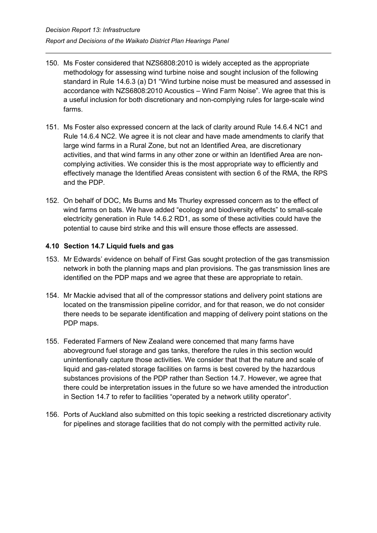- 150. Ms Foster considered that NZS6808:2010 is widely accepted as the appropriate methodology for assessing wind turbine noise and sought inclusion of the following standard in Rule 14.6.3 (a) D1 "Wind turbine noise must be measured and assessed in accordance with NZS6808:2010 Acoustics – Wind Farm Noise". We agree that this is a useful inclusion for both discretionary and non-complying rules for large-scale wind farms.
- 151. Ms Foster also expressed concern at the lack of clarity around Rule 14.6.4 NC1 and Rule 14.6.4 NC2. We agree it is not clear and have made amendments to clarify that large wind farms in a Rural Zone, but not an Identified Area, are discretionary activities, and that wind farms in any other zone or within an Identified Area are noncomplying activities. We consider this is the most appropriate way to efficiently and effectively manage the Identified Areas consistent with section 6 of the RMA, the RPS and the PDP.
- 152. On behalf of DOC, Ms Burns and Ms Thurley expressed concern as to the effect of wind farms on bats. We have added "ecology and biodiversity effects" to small-scale electricity generation in Rule 14.6.2 RD1, as some of these activities could have the potential to cause bird strike and this will ensure those effects are assessed.

## <span id="page-49-0"></span>**4.10 Section 14.7 Liquid fuels and gas**

- 153. Mr Edwards' evidence on behalf of First Gas sought protection of the gas transmission network in both the planning maps and plan provisions. The gas transmission lines are identified on the PDP maps and we agree that these are appropriate to retain.
- 154. Mr Mackie advised that all of the compressor stations and delivery point stations are located on the transmission pipeline corridor, and for that reason, we do not consider there needs to be separate identification and mapping of delivery point stations on the PDP maps.
- 155. Federated Farmers of New Zealand were concerned that many farms have aboveground fuel storage and gas tanks, therefore the rules in this section would unintentionally capture those activities. We consider that that the nature and scale of liquid and gas-related storage facilities on farms is best covered by the hazardous substances provisions of the PDP rather than Section 14.7. However, we agree that there could be interpretation issues in the future so we have amended the introduction in Section 14.7 to refer to facilities "operated by a network utility operator".
- 156. Ports of Auckland also submitted on this topic seeking a restricted discretionary activity for pipelines and storage facilities that do not comply with the permitted activity rule.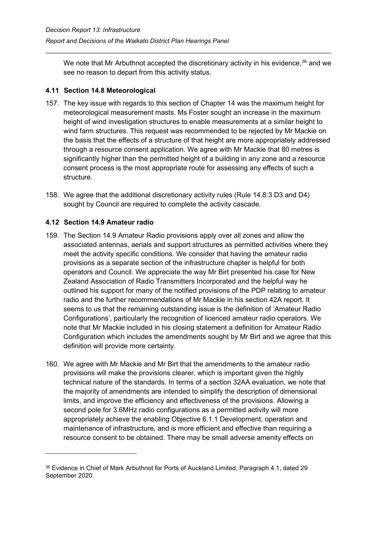We note that Mr Arbuthnot accepted the discretionary activity in his evidence,<sup>[36](#page-50-2)</sup> and we see no reason to depart from this activity status.

## <span id="page-50-0"></span>**4.11 Section 14.8 Meteorological**

- 157. The key issue with regards to this section of Chapter 14 was the maximum height for meteorological measurement masts. Ms Foster sought an increase in the maximum height of wind investigation structures to enable measurements at a similar height to wind farm structures. This request was recommended to be rejected by Mr Mackie on the basis that the effects of a structure of that height are more appropriately addressed through a resource consent application. We agree with Mr Mackie that 80 metres is significantly higher than the permitted height of a building in any zone and a resource consent process is the most appropriate route for assessing any effects of such a structure.
- 158. We agree that the additional discretionary activity rules (Rule 14.8.3 D3 and D4) sought by Council are required to complete the activity cascade.

#### <span id="page-50-1"></span>**4.12 Section 14.9 Amateur radio**

- 159. The Section 14.9 Amateur Radio provisions apply over all zones and allow the associated antennas, aerials and support structures as permitted activities where they meet the activity specific conditions. We consider that having the amateur radio provisions as a separate section of the infrastructure chapter is helpful for both operators and Council. We appreciate the way Mr Birt presented his case for New Zealand Association of Radio Transmitters Incorporated and the helpful way he outlined his support for many of the notified provisions of the PDP relating to amateur radio and the further recommendations of Mr Mackie in his section 42A report. It seems to us that the remaining outstanding issue is the definition of 'Amateur Radio Configurations', particularly the recognition of licenced amateur radio operators. We note that Mr Mackie included in his closing statement a definition for Amateur Radio Configuration which includes the amendments sought by Mr Birt and we agree that this definition will provide more certainty.
- 160. We agree with Mr Mackie and Mr Birt that the amendments to the amateur radio provisions will make the provisions clearer, which is important given the highly technical nature of the standards. In terms of a section 32AA evaluation, we note that the majority of amendments are intended to simplify the description of dimensional limits, and improve the efficiency and effectiveness of the provisions. Allowing a second pole for 3.6MHz radio configurations as a permitted activity will more appropriately achieve the enabling Objective 6.1.1 Development, operation and maintenance of infrastructure, and is more efficient and effective than requiring a resource consent to be obtained. There may be small adverse amenity effects on

<span id="page-50-2"></span><sup>&</sup>lt;sup>36</sup> Evidence in Chief of Mark Arbuthnot for Ports of Auckland Limited, Paragraph 4.1, dated 29 September 2020.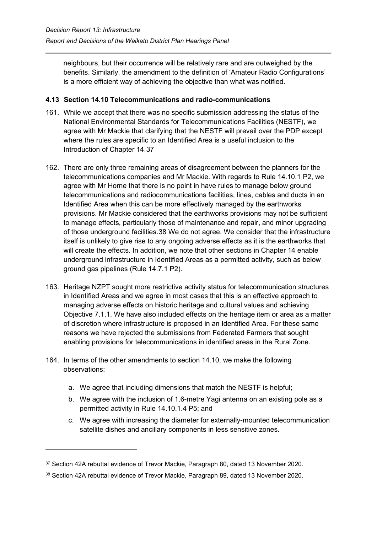neighbours, but their occurrence will be relatively rare and are outweighed by the benefits. Similarly, the amendment to the definition of 'Amateur Radio Configurations' is a more efficient way of achieving the objective than what was notified.

#### <span id="page-51-0"></span>**4.13 Section 14.10 Telecommunications and radio-communications**

- 161. While we accept that there was no specific submission addressing the status of the National Environmental Standards for Telecommunications Facilities (NESTF), we agree with Mr Mackie that clarifying that the NESTF will prevail over the PDP except where the rules are specific to an Identified Area is a useful inclusion to the Introduction of Chapter 14.[37](#page-51-1)
- 162. There are only three remaining areas of disagreement between the planners for the telecommunications companies and Mr Mackie. With regards to Rule 14.10.1 P2, we agree with Mr Horne that there is no point in have rules to manage below ground telecommunications and radiocommunications facilities, lines, cables and ducts in an Identified Area when this can be more effectively managed by the earthworks provisions. Mr Mackie considered that the earthworks provisions may not be sufficient to manage effects, particularly those of maintenance and repair, and minor upgrading of those underground facilities.[38](#page-51-2) We do not agree. We consider that the infrastructure itself is unlikely to give rise to any ongoing adverse effects as it is the earthworks that will create the effects. In addition, we note that other sections in Chapter 14 enable underground infrastructure in Identified Areas as a permitted activity, such as below ground gas pipelines (Rule 14.7.1 P2).
- 163. Heritage NZPT sought more restrictive activity status for telecommunication structures in Identified Areas and we agree in most cases that this is an effective approach to managing adverse effects on historic heritage and cultural values and achieving Objective 7.1.1. We have also included effects on the heritage item or area as a matter of discretion where infrastructure is proposed in an Identified Area. For these same reasons we have rejected the submissions from Federated Farmers that sought enabling provisions for telecommunications in identified areas in the Rural Zone.
- 164. In terms of the other amendments to section 14.10, we make the following observations:
	- a. We agree that including dimensions that match the NESTF is helpful;
	- b. We agree with the inclusion of 1.6-metre Yagi antenna on an existing pole as a permitted activity in Rule 14.10.1.4 P5; and
	- c. We agree with increasing the diameter for externally-mounted telecommunication satellite dishes and ancillary components in less sensitive zones.

<span id="page-51-1"></span><sup>37</sup> Section 42A rebuttal evidence of Trevor Mackie, Paragraph 80, dated 13 November 2020.

<span id="page-51-2"></span><sup>38</sup> Section 42A rebuttal evidence of Trevor Mackie, Paragraph 89, dated 13 November 2020.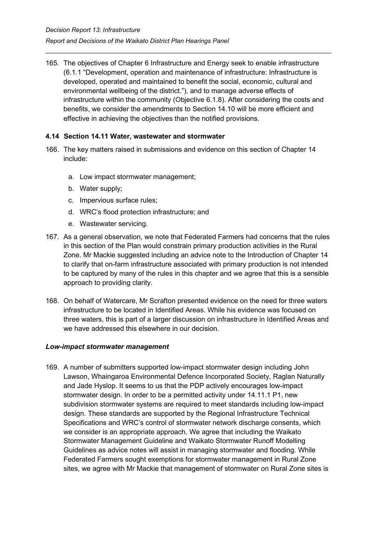165. The objectives of Chapter 6 Infrastructure and Energy seek to enable infrastructure (6.1.1 "Development, operation and maintenance of infrastructure: Infrastructure is developed, operated and maintained to benefit the social, economic, cultural and environmental wellbeing of the district."), and to manage adverse effects of infrastructure within the community (Objective 6.1.8). After considering the costs and benefits, we consider the amendments to Section 14.10 will be more efficient and effective in achieving the objectives than the notified provisions.

#### <span id="page-52-0"></span>**4.14 Section 14.11 Water, wastewater and stormwater**

- 166. The key matters raised in submissions and evidence on this section of Chapter 14 include:
	- a. Low impact stormwater management;
	- b. Water supply;
	- c. Impervious surface rules;
	- d. WRC's flood protection infrastructure; and
	- e. Wastewater servicing.
- 167. As a general observation, we note that Federated Farmers had concerns that the rules in this section of the Plan would constrain primary production activities in the Rural Zone. Mr Mackie suggested including an advice note to the Introduction of Chapter 14 to clarify that on-farm infrastructure associated with primary production is not intended to be captured by many of the rules in this chapter and we agree that this is a sensible approach to providing clarity.
- 168. On behalf of Watercare, Mr Scrafton presented evidence on the need for three waters infrastructure to be located in Identified Areas. While his evidence was focused on three waters, this is part of a larger discussion on infrastructure in Identified Areas and we have addressed this elsewhere in our decision.

#### *Low-impact stormwater management*

169. A number of submitters supported low-impact stormwater design including John Lawson, Whaingaroa Environmental Defence Incorporated Society, Raglan Naturally and Jade Hyslop. It seems to us that the PDP actively encourages low-impact stormwater design. In order to be a permitted activity under 14.11.1 P1, new subdivision stormwater systems are required to meet standards including low-impact design. These standards are supported by the Regional Infrastructure Technical Specifications and WRC's control of stormwater network discharge consents, which we consider is an appropriate approach. We agree that including the Waikato Stormwater Management Guideline and Waikato Stormwater Runoff Modelling Guidelines as advice notes will assist in managing stormwater and flooding. While Federated Farmers sought exemptions for stormwater management in Rural Zone sites, we agree with Mr Mackie that management of stormwater on Rural Zone sites is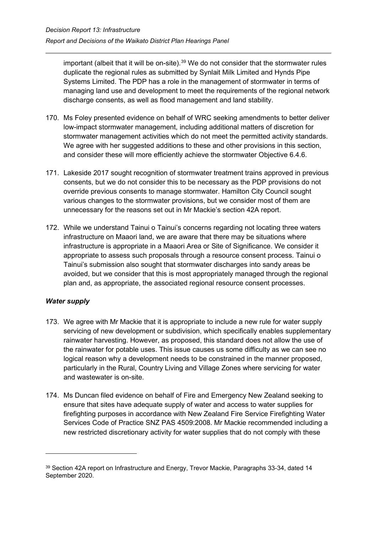important (albeit that it will be on-site). [39](#page-53-0) We do not consider that the stormwater rules duplicate the regional rules as submitted by Synlait Milk Limited and Hynds Pipe Systems Limited. The PDP has a role in the management of stormwater in terms of managing land use and development to meet the requirements of the regional network discharge consents, as well as flood management and land stability.

- 170. Ms Foley presented evidence on behalf of WRC seeking amendments to better deliver low-impact stormwater management, including additional matters of discretion for stormwater management activities which do not meet the permitted activity standards. We agree with her suggested additions to these and other provisions in this section, and consider these will more efficiently achieve the stormwater Objective 6.4.6.
- 171. Lakeside 2017 sought recognition of stormwater treatment trains approved in previous consents, but we do not consider this to be necessary as the PDP provisions do not override previous consents to manage stormwater. Hamilton City Council sought various changes to the stormwater provisions, but we consider most of them are unnecessary for the reasons set out in Mr Mackie's section 42A report.
- 172. While we understand Tainui o Tainui's concerns regarding not locating three waters infrastructure on Maaori land, we are aware that there may be situations where infrastructure is appropriate in a Maaori Area or Site of Significance. We consider it appropriate to assess such proposals through a resource consent process. Tainui o Tainui's submission also sought that stormwater discharges into sandy areas be avoided, but we consider that this is most appropriately managed through the regional plan and, as appropriate, the associated regional resource consent processes.

## *Water supply*

- 173. We agree with Mr Mackie that it is appropriate to include a new rule for water supply servicing of new development or subdivision, which specifically enables supplementary rainwater harvesting. However, as proposed, this standard does not allow the use of the rainwater for potable uses. This issue causes us some difficulty as we can see no logical reason why a development needs to be constrained in the manner proposed, particularly in the Rural, Country Living and Village Zones where servicing for water and wastewater is on-site.
- 174. Ms Duncan filed evidence on behalf of Fire and Emergency New Zealand seeking to ensure that sites have adequate supply of water and access to water supplies for firefighting purposes in accordance with New Zealand Fire Service Firefighting Water Services Code of Practice SNZ PAS 4509:2008. Mr Mackie recommended including a new restricted discretionary activity for water supplies that do not comply with these

<span id="page-53-0"></span><sup>&</sup>lt;sup>39</sup> Section 42A report on Infrastructure and Energy, Trevor Mackie, Paragraphs 33-34, dated 14 September 2020.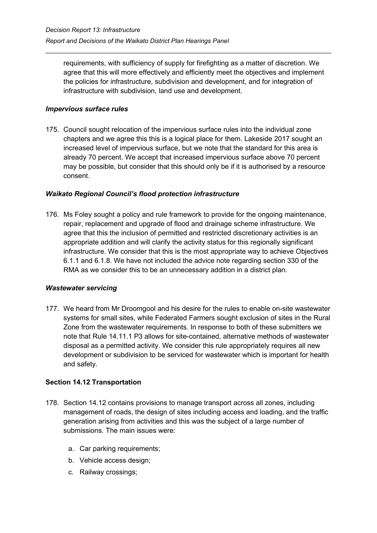requirements, with sufficiency of supply for firefighting as a matter of discretion. We agree that this will more effectively and efficiently meet the objectives and implement the policies for infrastructure, subdivision and development, and for integration of infrastructure with subdivision, land use and development.

## *Impervious surface rules*

175. Council sought relocation of the impervious surface rules into the individual zone chapters and we agree this this is a logical place for them. Lakeside 2017 sought an increased level of impervious surface, but we note that the standard for this area is already 70 percent. We accept that increased impervious surface above 70 percent may be possible, but consider that this should only be if it is authorised by a resource consent.

#### *Waikato Regional Council's flood protection infrastructure*

176. Ms Foley sought a policy and rule framework to provide for the ongoing maintenance, repair, replacement and upgrade of flood and drainage scheme infrastructure. We agree that this the inclusion of permitted and restricted discretionary activities is an appropriate addition and will clarify the activity status for this regionally significant infrastructure. We consider that this is the most appropriate way to achieve Objectives 6.1.1 and 6.1.8. We have not included the advice note regarding section 330 of the RMA as we consider this to be an unnecessary addition in a district plan.

#### *Wastewater servicing*

177. We heard from Mr Droomgool and his desire for the rules to enable on-site wastewater systems for small sites, while Federated Farmers sought exclusion of sites in the Rural Zone from the wastewater requirements. In response to both of these submitters we note that Rule 14.11.1 P3 allows for site-contained, alternative methods of wastewater disposal as a permitted activity. We consider this rule appropriately requires all new development or subdivision to be serviced for wastewater which is important for health and safety.

## **Section 14.12 Transportation**

- 178. Section 14.12 contains provisions to manage transport across all zones, including management of roads, the design of sites including access and loading, and the traffic generation arising from activities and this was the subject of a large number of submissions. The main issues were:
	- a. Car parking requirements;
	- b. Vehicle access design;
	- c. Railway crossings;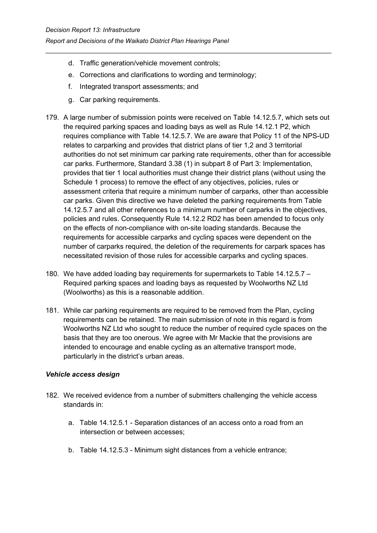- d. Traffic generation/vehicle movement controls;
- e. Corrections and clarifications to wording and terminology;
- f. Integrated transport assessments; and
- g. Car parking requirements.
- 179. A large number of submission points were received on Table 14.12.5.7, which sets out the required parking spaces and loading bays as well as Rule 14.12.1 P2, which requires compliance with Table 14.12.5.7. We are aware that Policy 11 of the NPS-UD relates to carparking and provides that district plans of tier 1,2 and 3 territorial authorities do not set minimum car parking rate requirements, other than for accessible car parks. Furthermore, Standard 3.38 (1) in subpart 8 of Part 3: Implementation, provides that tier 1 local authorities must change their district plans (without using the Schedule 1 process) to remove the effect of any objectives, policies, rules or assessment criteria that require a minimum number of carparks, other than accessible car parks. Given this directive we have deleted the parking requirements from Table 14.12.5.7 and all other references to a minimum number of carparks in the objectives, policies and rules. Consequently Rule 14.12.2 RD2 has been amended to focus only on the effects of non-compliance with on-site loading standards. Because the requirements for accessible carparks and cycling spaces were dependent on the number of carparks required, the deletion of the requirements for carpark spaces has necessitated revision of those rules for accessible carparks and cycling spaces.
- 180. We have added loading bay requirements for supermarkets to Table 14.12.5.7 Required parking spaces and loading bays as requested by Woolworths NZ Ltd (Woolworths) as this is a reasonable addition.
- 181. While car parking requirements are required to be removed from the Plan, cycling requirements can be retained. The main submission of note in this regard is from Woolworths NZ Ltd who sought to reduce the number of required cycle spaces on the basis that they are too onerous. We agree with Mr Mackie that the provisions are intended to encourage and enable cycling as an alternative transport mode, particularly in the district's urban areas.

## *Vehicle access design*

- 182. We received evidence from a number of submitters challenging the vehicle access standards in:
	- a. Table 14.12.5.1 Separation distances of an access onto a road from an intersection or between accesses;
	- b. Table 14.12.5.3 Minimum sight distances from a vehicle entrance;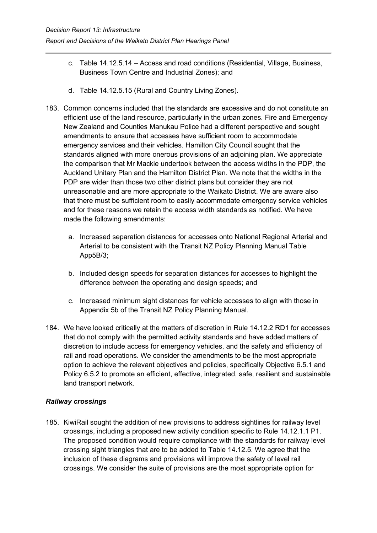- c. Table 14.12.5.14 Access and road conditions (Residential, Village, Business, Business Town Centre and Industrial Zones); and
- d. Table 14.12.5.15 (Rural and Country Living Zones).
- 183. Common concerns included that the standards are excessive and do not constitute an efficient use of the land resource, particularly in the urban zones. Fire and Emergency New Zealand and Counties Manukau Police had a different perspective and sought amendments to ensure that accesses have sufficient room to accommodate emergency services and their vehicles. Hamilton City Council sought that the standards aligned with more onerous provisions of an adjoining plan. We appreciate the comparison that Mr Mackie undertook between the access widths in the PDP, the Auckland Unitary Plan and the Hamilton District Plan. We note that the widths in the PDP are wider than those two other district plans but consider they are not unreasonable and are more appropriate to the Waikato District. We are aware also that there must be sufficient room to easily accommodate emergency service vehicles and for these reasons we retain the access width standards as notified. We have made the following amendments:
	- a. Increased separation distances for accesses onto National Regional Arterial and Arterial to be consistent with the Transit NZ Policy Planning Manual Table App5B/3;
	- b. Included design speeds for separation distances for accesses to highlight the difference between the operating and design speeds; and
	- c. Increased minimum sight distances for vehicle accesses to align with those in Appendix 5b of the Transit NZ Policy Planning Manual.
- 184. We have looked critically at the matters of discretion in Rule 14.12.2 RD1 for accesses that do not comply with the permitted activity standards and have added matters of discretion to include access for emergency vehicles, and the safety and efficiency of rail and road operations. We consider the amendments to be the most appropriate option to achieve the relevant objectives and policies, specifically Objective 6.5.1 and Policy 6.5.2 to promote an efficient, effective, integrated, safe, resilient and sustainable land transport network.

## *Railway crossings*

185. KiwiRail sought the addition of new provisions to address sightlines for railway level crossings, including a proposed new activity condition specific to Rule 14.12.1.1 P1. The proposed condition would require compliance with the standards for railway level crossing sight triangles that are to be added to Table 14.12.5. We agree that the inclusion of these diagrams and provisions will improve the safety of level rail crossings. We consider the suite of provisions are the most appropriate option for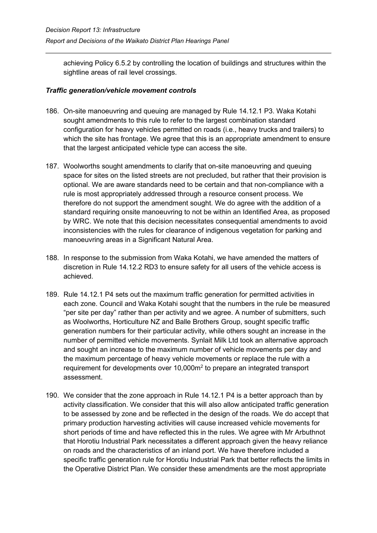achieving Policy 6.5.2 by controlling the location of buildings and structures within the sightline areas of rail level crossings.

## *Traffic generation/vehicle movement controls*

- 186. On-site manoeuvring and queuing are managed by Rule 14.12.1 P3. Waka Kotahi sought amendments to this rule to refer to the largest combination standard configuration for heavy vehicles permitted on roads (i.e., heavy trucks and trailers) to which the site has frontage. We agree that this is an appropriate amendment to ensure that the largest anticipated vehicle type can access the site.
- 187. Woolworths sought amendments to clarify that on-site manoeuvring and queuing space for sites on the listed streets are not precluded, but rather that their provision is optional. We are aware standards need to be certain and that non-compliance with a rule is most appropriately addressed through a resource consent process. We therefore do not support the amendment sought. We do agree with the addition of a standard requiring onsite manoeuvring to not be within an Identified Area, as proposed by WRC. We note that this decision necessitates consequential amendments to avoid inconsistencies with the rules for clearance of indigenous vegetation for parking and manoeuvring areas in a Significant Natural Area.
- 188. In response to the submission from Waka Kotahi, we have amended the matters of discretion in Rule 14.12.2 RD3 to ensure safety for all users of the vehicle access is achieved.
- 189. Rule 14.12.1 P4 sets out the maximum traffic generation for permitted activities in each zone. Council and Waka Kotahi sought that the numbers in the rule be measured "per site per day" rather than per activity and we agree. A number of submitters, such as Woolworths, Horticulture NZ and Balle Brothers Group, sought specific traffic generation numbers for their particular activity, while others sought an increase in the number of permitted vehicle movements. Synlait Milk Ltd took an alternative approach and sought an increase to the maximum number of vehicle movements per day and the maximum percentage of heavy vehicle movements or replace the rule with a requirement for developments over 10,000m<sup>2</sup> to prepare an integrated transport assessment.
- 190. We consider that the zone approach in Rule 14.12.1 P4 is a better approach than by activity classification. We consider that this will also allow anticipated traffic generation to be assessed by zone and be reflected in the design of the roads. We do accept that primary production harvesting activities will cause increased vehicle movements for short periods of time and have reflected this in the rules. We agree with Mr Arbuthnot that Horotiu Industrial Park necessitates a different approach given the heavy reliance on roads and the characteristics of an inland port. We have therefore included a specific traffic generation rule for Horotiu Industrial Park that better reflects the limits in the Operative District Plan. We consider these amendments are the most appropriate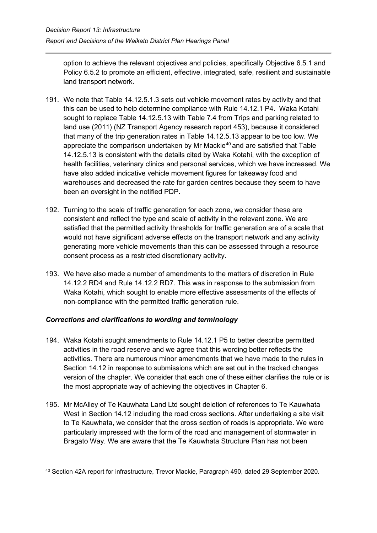option to achieve the relevant objectives and policies, specifically Objective 6.5.1 and Policy 6.5.2 to promote an efficient, effective, integrated, safe, resilient and sustainable land transport network.

- 191. We note that Table 14.12.5.1.3 sets out vehicle movement rates by activity and that this can be used to help determine compliance with Rule 14.12.1 P4. Waka Kotahi sought to replace Table 14.12.5.13 with Table 7.4 from Trips and parking related to land use (2011) (NZ Transport Agency research report 453), because it considered that many of the trip generation rates in Table 14.12.5.13 appear to be too low. We appreciate the comparison undertaken by Mr Mackie $40$  and are satisfied that Table 14.12.5.13 is consistent with the details cited by Waka Kotahi, with the exception of health facilities, veterinary clinics and personal services, which we have increased. We have also added indicative vehicle movement figures for takeaway food and warehouses and decreased the rate for garden centres because they seem to have been an oversight in the notified PDP.
- 192. Turning to the scale of traffic generation for each zone, we consider these are consistent and reflect the type and scale of activity in the relevant zone. We are satisfied that the permitted activity thresholds for traffic generation are of a scale that would not have significant adverse effects on the transport network and any activity generating more vehicle movements than this can be assessed through a resource consent process as a restricted discretionary activity.
- 193. We have also made a number of amendments to the matters of discretion in Rule 14.12.2 RD4 and Rule 14.12.2 RD7. This was in response to the submission from Waka Kotahi, which sought to enable more effective assessments of the effects of non-compliance with the permitted traffic generation rule.

## *Corrections and clarifications to wording and terminology*

- 194. Waka Kotahi sought amendments to Rule 14.12.1 P5 to better describe permitted activities in the road reserve and we agree that this wording better reflects the activities. There are numerous minor amendments that we have made to the rules in Section 14.12 in response to submissions which are set out in the tracked changes version of the chapter. We consider that each one of these either clarifies the rule or is the most appropriate way of achieving the objectives in Chapter 6.
- 195. Mr McAlley of Te Kauwhata Land Ltd sought deletion of references to Te Kauwhata West in Section 14.12 including the road cross sections. After undertaking a site visit to Te Kauwhata, we consider that the cross section of roads is appropriate. We were particularly impressed with the form of the road and management of stormwater in Bragato Way. We are aware that the Te Kauwhata Structure Plan has not been

<span id="page-58-0"></span><sup>40</sup> Section 42A report for infrastructure, Trevor Mackie, Paragraph 490, dated 29 September 2020.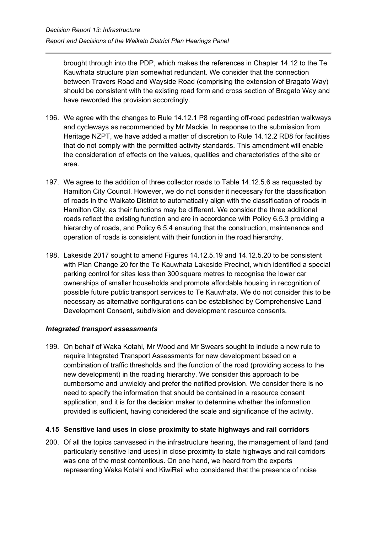brought through into the PDP, which makes the references in Chapter 14.12 to the Te Kauwhata structure plan somewhat redundant. We consider that the connection between Travers Road and Wayside Road (comprising the extension of Bragato Way) should be consistent with the existing road form and cross section of Bragato Way and have reworded the provision accordingly.

- 196. We agree with the changes to Rule 14.12.1 P8 regarding off-road pedestrian walkways and cycleways as recommended by Mr Mackie. In response to the submission from Heritage NZPT, we have added a matter of discretion to Rule 14.12.2 RD8 for facilities that do not comply with the permitted activity standards. This amendment will enable the consideration of effects on the values, qualities and characteristics of the site or area.
- 197. We agree to the addition of three collector roads to Table 14.12.5.6 as requested by Hamilton City Council. However, we do not consider it necessary for the classification of roads in the Waikato District to automatically align with the classification of roads in Hamilton City, as their functions may be different. We consider the three additional roads reflect the existing function and are in accordance with Policy 6.5.3 providing a hierarchy of roads, and Policy 6.5.4 ensuring that the construction, maintenance and operation of roads is consistent with their function in the road hierarchy.
- 198. Lakeside 2017 sought to amend Figures 14.12.5.19 and 14.12.5.20 to be consistent with Plan Change 20 for the Te Kauwhata Lakeside Precinct, which identified a special parking control for sites less than 300 square metres to recognise the lower car ownerships of smaller households and promote affordable housing in recognition of possible future public transport services to Te Kauwhata. We do not consider this to be necessary as alternative configurations can be established by Comprehensive Land Development Consent, subdivision and development resource consents.

#### *Integrated transport assessments*

199. On behalf of Waka Kotahi, Mr Wood and Mr Swears sought to include a new rule to require Integrated Transport Assessments for new development based on a combination of traffic thresholds and the function of the road (providing access to the new development) in the roading hierarchy. We consider this approach to be cumbersome and unwieldy and prefer the notified provision. We consider there is no need to specify the information that should be contained in a resource consent application, and it is for the decision maker to determine whether the information provided is sufficient, having considered the scale and significance of the activity.

#### <span id="page-59-0"></span>**4.15 Sensitive land uses in close proximity to state highways and rail corridors**

200. Of all the topics canvassed in the infrastructure hearing, the management of land (and particularly sensitive land uses) in close proximity to state highways and rail corridors was one of the most contentious. On one hand, we heard from the experts representing Waka Kotahi and KiwiRail who considered that the presence of noise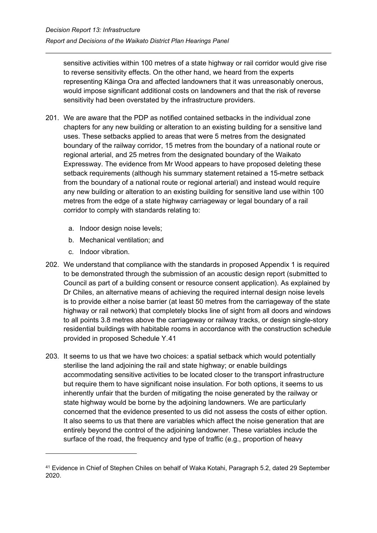sensitive activities within 100 metres of a state highway or rail corridor would give rise to reverse sensitivity effects. On the other hand, we heard from the experts representing Kāinga Ora and affected landowners that it was unreasonably onerous, would impose significant additional costs on landowners and that the risk of reverse sensitivity had been overstated by the infrastructure providers.

- 201. We are aware that the PDP as notified contained setbacks in the individual zone chapters for any new building or alteration to an existing building for a sensitive land uses. These setbacks applied to areas that were 5 metres from the designated boundary of the railway corridor, 15 metres from the boundary of a national route or regional arterial, and 25 metres from the designated boundary of the Waikato Expressway. The evidence from Mr Wood appears to have proposed deleting these setback requirements (although his summary statement retained a 15-metre setback from the boundary of a national route or regional arterial) and instead would require any new building or alteration to an existing building for sensitive land use within 100 metres from the edge of a state highway carriageway or legal boundary of a rail corridor to comply with standards relating to:
	- a. Indoor design noise levels;
	- b. Mechanical ventilation; and
	- c. Indoor vibration.
- 202. We understand that compliance with the standards in proposed Appendix 1 is required to be demonstrated through the submission of an acoustic design report (submitted to Council as part of a building consent or resource consent application). As explained by Dr Chiles, an alternative means of achieving the required internal design noise levels is to provide either a noise barrier (at least 50 metres from the carriageway of the state highway or rail network) that completely blocks line of sight from all doors and windows to all points 3.8 metres above the carriageway or railway tracks, or design single-story residential buildings with habitable rooms in accordance with the construction schedule provided in proposed Schedule Y.[41](#page-60-0)
- 203. It seems to us that we have two choices: a spatial setback which would potentially sterilise the land adjoining the rail and state highway; or enable buildings accommodating sensitive activities to be located closer to the transport infrastructure but require them to have significant noise insulation. For both options, it seems to us inherently unfair that the burden of mitigating the noise generated by the railway or state highway would be borne by the adjoining landowners. We are particularly concerned that the evidence presented to us did not assess the costs of either option. It also seems to us that there are variables which affect the noise generation that are entirely beyond the control of the adjoining landowner. These variables include the surface of the road, the frequency and type of traffic (e.g., proportion of heavy

<span id="page-60-0"></span><sup>41</sup> Evidence in Chief of Stephen Chiles on behalf of Waka Kotahi, Paragraph 5.2, dated 29 September 2020.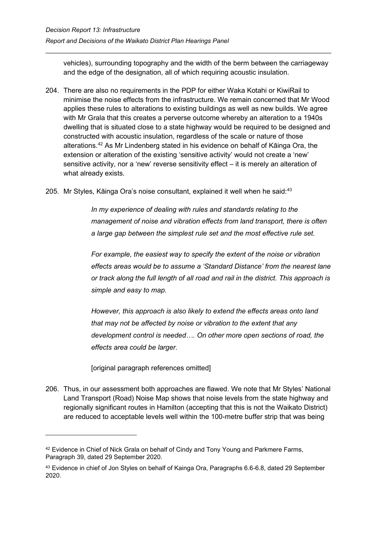vehicles), surrounding topography and the width of the berm between the carriageway and the edge of the designation, all of which requiring acoustic insulation.

- 204. There are also no requirements in the PDP for either Waka Kotahi or KiwiRail to minimise the noise effects from the infrastructure. We remain concerned that Mr Wood applies these rules to alterations to existing buildings as well as new builds. We agree with Mr Grala that this creates a perverse outcome whereby an alteration to a 1940s dwelling that is situated close to a state highway would be required to be designed and constructed with acoustic insulation, regardless of the scale or nature of those alterations.[42](#page-61-0) As Mr Lindenberg stated in his evidence on behalf of Kāinga Ora, the extension or alteration of the existing 'sensitive activity' would not create a 'new' sensitive activity, nor a 'new' reverse sensitivity effect – it is merely an alteration of what already exists.
- 205. Mr Styles, Kāinga Ora's noise consultant, explained it well when he said:<sup>[43](#page-61-1)</sup>

*In my experience of dealing with rules and standards relating to the management of noise and vibration effects from land transport, there is often a large gap between the simplest rule set and the most effective rule set.* 

*For example, the easiest way to specify the extent of the noise or vibration effects areas would be to assume a 'Standard Distance' from the nearest lane or track along the full length of all road and rail in the district. This approach is simple and easy to map.*

*However, this approach is also likely to extend the effects areas onto land that may not be affected by noise or vibration to the extent that any development control is needed…. On other more open sections of road, the effects area could be larger.*

[original paragraph references omitted]

206. Thus, in our assessment both approaches are flawed. We note that Mr Styles' National Land Transport (Road) Noise Map shows that noise levels from the state highway and regionally significant routes in Hamilton (accepting that this is not the Waikato District) are reduced to acceptable levels well within the 100-metre buffer strip that was being

<span id="page-61-0"></span><sup>&</sup>lt;sup>42</sup> Evidence in Chief of Nick Grala on behalf of Cindy and Tony Young and Parkmere Farms, Paragraph 39, dated 29 September 2020.

<span id="page-61-1"></span><sup>43</sup> Evidence in chief of Jon Styles on behalf of Kainga Ora, Paragraphs 6.6-6.8, dated 29 September 2020.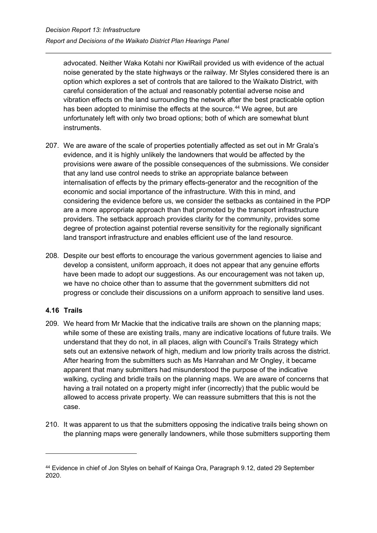advocated. Neither Waka Kotahi nor KiwiRail provided us with evidence of the actual noise generated by the state highways or the railway. Mr Styles considered there is an option which explores a set of controls that are tailored to the Waikato District, with careful consideration of the actual and reasonably potential adverse noise and vibration effects on the land surrounding the network after the best practicable option has been adopted to minimise the effects at the source. [44](#page-62-1) We agree, but are unfortunately left with only two broad options; both of which are somewhat blunt instruments.

- 207. We are aware of the scale of properties potentially affected as set out in Mr Grala's evidence, and it is highly unlikely the landowners that would be affected by the provisions were aware of the possible consequences of the submissions. We consider that any land use control needs to strike an appropriate balance between internalisation of effects by the primary effects-generator and the recognition of the economic and social importance of the infrastructure. With this in mind, and considering the evidence before us, we consider the setbacks as contained in the PDP are a more appropriate approach than that promoted by the transport infrastructure providers. The setback approach provides clarity for the community, provides some degree of protection against potential reverse sensitivity for the regionally significant land transport infrastructure and enables efficient use of the land resource.
- 208. Despite our best efforts to encourage the various government agencies to liaise and develop a consistent, uniform approach, it does not appear that any genuine efforts have been made to adopt our suggestions. As our encouragement was not taken up, we have no choice other than to assume that the government submitters did not progress or conclude their discussions on a uniform approach to sensitive land uses.

## <span id="page-62-0"></span>**4.16 Trails**

- 209. We heard from Mr Mackie that the indicative trails are shown on the planning maps; while some of these are existing trails, many are indicative locations of future trails. We understand that they do not, in all places, align with Council's Trails Strategy which sets out an extensive network of high, medium and low priority trails across the district. After hearing from the submitters such as Ms Hanrahan and Mr Ongley, it became apparent that many submitters had misunderstood the purpose of the indicative walking, cycling and bridle trails on the planning maps. We are aware of concerns that having a trail notated on a property might infer (incorrectly) that the public would be allowed to access private property. We can reassure submitters that this is not the case.
- 210. It was apparent to us that the submitters opposing the indicative trails being shown on the planning maps were generally landowners, while those submitters supporting them

<span id="page-62-1"></span><sup>44</sup> Evidence in chief of Jon Styles on behalf of Kainga Ora, Paragraph 9.12, dated 29 September 2020.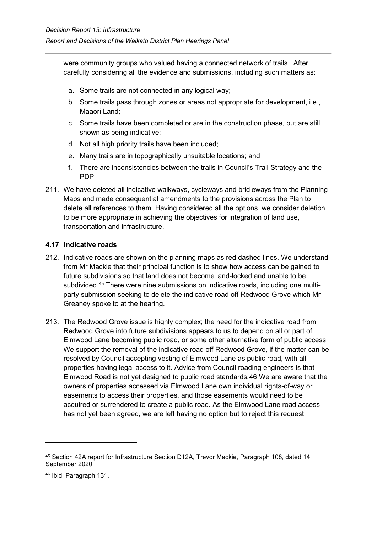were community groups who valued having a connected network of trails. After carefully considering all the evidence and submissions, including such matters as:

- a. Some trails are not connected in any logical way;
- b. Some trails pass through zones or areas not appropriate for development, i.e., Maaori Land;
- c. Some trails have been completed or are in the construction phase, but are still shown as being indicative;
- d. Not all high priority trails have been included;
- e. Many trails are in topographically unsuitable locations; and
- f. There are inconsistencies between the trails in Council's Trail Strategy and the PDP.
- 211. We have deleted all indicative walkways, cycleways and bridleways from the Planning Maps and made consequential amendments to the provisions across the Plan to delete all references to them. Having considered all the options, we consider deletion to be more appropriate in achieving the objectives for integration of land use, transportation and infrastructure.

#### <span id="page-63-0"></span>**4.17 Indicative roads**

- 212. Indicative roads are shown on the planning maps as red dashed lines. We understand from Mr Mackie that their principal function is to show how access can be gained to future subdivisions so that land does not become land-locked and unable to be subdivided. [45](#page-63-1) There were nine submissions on indicative roads, including one multiparty submission seeking to delete the indicative road off Redwood Grove which Mr Greaney spoke to at the hearing.
- 213. The Redwood Grove issue is highly complex; the need for the indicative road from Redwood Grove into future subdivisions appears to us to depend on all or part of Elmwood Lane becoming public road, or some other alternative form of public access. We support the removal of the indicative road off Redwood Grove, if the matter can be resolved by Council accepting vesting of Elmwood Lane as public road, with all properties having legal access to it. Advice from Council roading engineers is that Elmwood Road is not yet designed to public road standards.[46](#page-63-2) We are aware that the owners of properties accessed via Elmwood Lane own individual rights-of-way or easements to access their properties, and those easements would need to be acquired or surrendered to create a public road. As the Elmwood Lane road access has not yet been agreed, we are left having no option but to reject this request.

<span id="page-63-1"></span><sup>45</sup> Section 42A report for Infrastructure Section D12A, Trevor Mackie, Paragraph 108, dated 14 September 2020.

<span id="page-63-2"></span><sup>46</sup> Ibid, Paragraph 131.